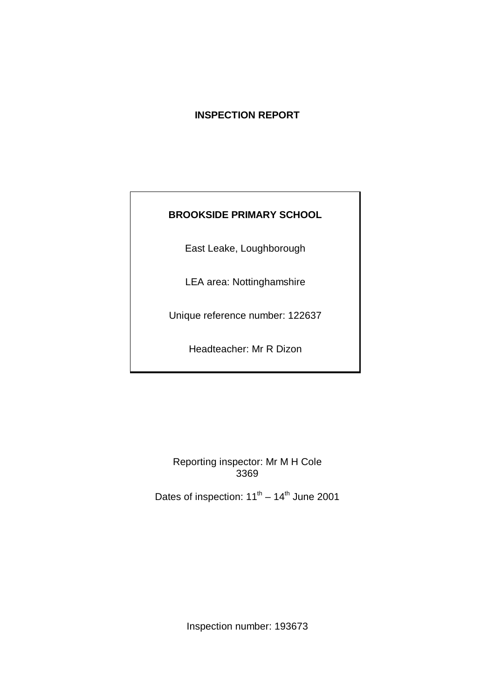# **INSPECTION REPORT**

# **BROOKSIDE PRIMARY SCHOOL**

East Leake, Loughborough

LEA area: Nottinghamshire

Unique reference number: 122637

Headteacher: Mr R Dizon

Reporting inspector: Mr M H Cole 3369

Dates of inspection:  $11^{\text{th}} - 14^{\text{th}}$  June 2001

Inspection number: 193673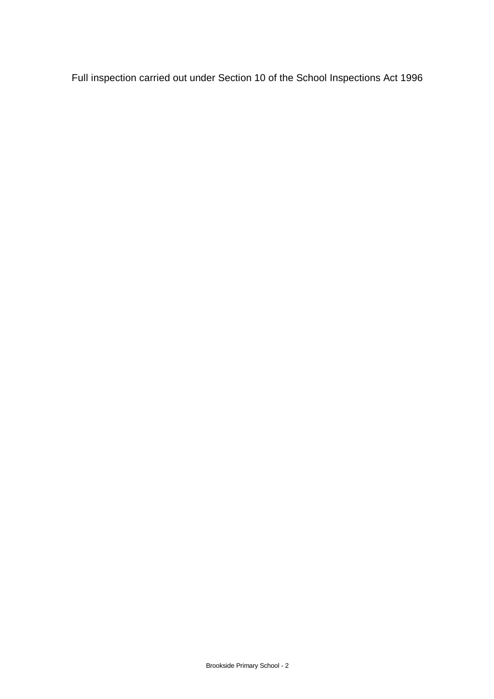Full inspection carried out under Section 10 of the School Inspections Act 1996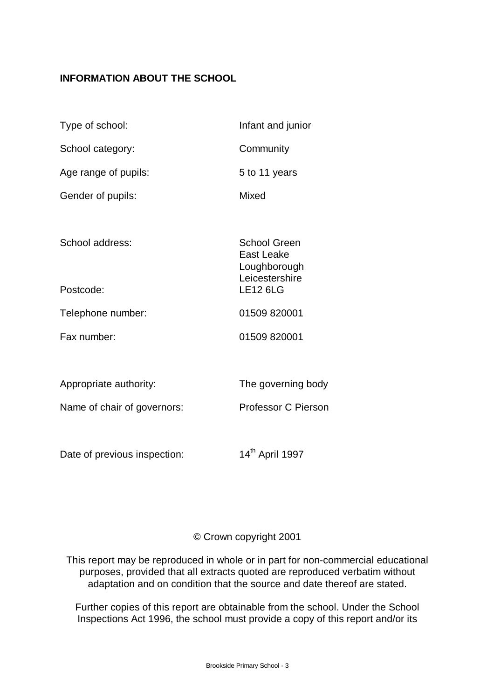# **INFORMATION ABOUT THE SCHOOL**

| Type of school:              | Infant and junior                                                          |
|------------------------------|----------------------------------------------------------------------------|
| School category:             | Community                                                                  |
| Age range of pupils:         | 5 to 11 years                                                              |
| Gender of pupils:            | Mixed                                                                      |
|                              |                                                                            |
| School address:              | <b>School Green</b><br><b>East Leake</b><br>Loughborough<br>Leicestershire |
| Postcode:                    | <b>LE12 6LG</b>                                                            |
| Telephone number:            | 01509 820001                                                               |
| Fax number:                  | 01509 820001                                                               |
|                              |                                                                            |
| Appropriate authority:       | The governing body                                                         |
| Name of chair of governors:  | <b>Professor C Pierson</b>                                                 |
|                              |                                                                            |
| Date of previous inspection: | 14 <sup>th</sup> April 1997                                                |

# © Crown copyright 2001

This report may be reproduced in whole or in part for non-commercial educational purposes, provided that all extracts quoted are reproduced verbatim without adaptation and on condition that the source and date thereof are stated.

Further copies of this report are obtainable from the school. Under the School Inspections Act 1996, the school must provide a copy of this report and/or its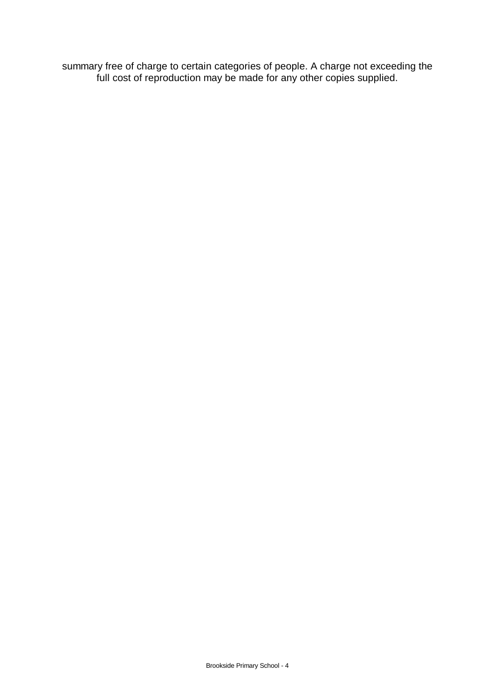summary free of charge to certain categories of people. A charge not exceeding the full cost of reproduction may be made for any other copies supplied.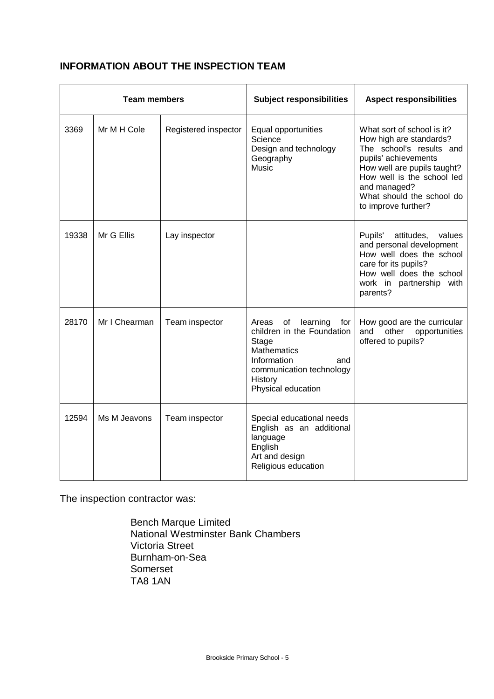# **INFORMATION ABOUT THE INSPECTION TEAM**

| <b>Team members</b> |               | <b>Subject responsibilities</b> | <b>Aspect responsibilities</b>                                                                                                                                              |                                                                                                                                                                                                                                            |
|---------------------|---------------|---------------------------------|-----------------------------------------------------------------------------------------------------------------------------------------------------------------------------|--------------------------------------------------------------------------------------------------------------------------------------------------------------------------------------------------------------------------------------------|
| 3369                | Mr M H Cole   | Registered inspector            | Equal opportunities<br>Science<br>Design and technology<br>Geography<br>Music                                                                                               | What sort of school is it?<br>How high are standards?<br>The school's results and<br>pupils' achievements<br>How well are pupils taught?<br>How well is the school led<br>and managed?<br>What should the school do<br>to improve further? |
| 19338               | Mr G Ellis    | Lay inspector                   |                                                                                                                                                                             | Pupils'<br>attitudes,<br>values<br>and personal development<br>How well does the school<br>care for its pupils?<br>How well does the school<br>work in partnership with<br>parents?                                                        |
| 28170               | Mr I Chearman | Team inspector                  | Areas of<br>learning<br>for<br>children in the Foundation<br>Stage<br><b>Mathematics</b><br>Information<br>and<br>communication technology<br>History<br>Physical education | How good are the curricular<br>other<br>and<br>opportunities<br>offered to pupils?                                                                                                                                                         |
| 12594               | Ms M Jeavons  | Team inspector                  | Special educational needs<br>English as an additional<br>language<br>English<br>Art and design<br>Religious education                                                       |                                                                                                                                                                                                                                            |

The inspection contractor was:

Bench Marque Limited National Westminster Bank Chambers Victoria Street Burnham-on-Sea Somerset TA8 1AN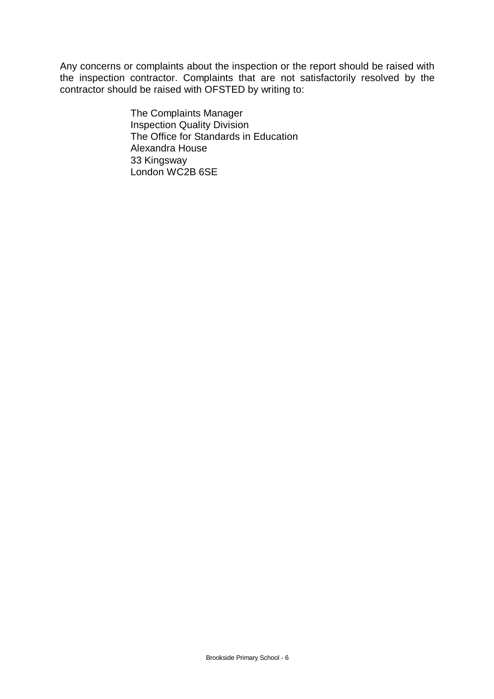Any concerns or complaints about the inspection or the report should be raised with the inspection contractor. Complaints that are not satisfactorily resolved by the contractor should be raised with OFSTED by writing to:

> The Complaints Manager Inspection Quality Division The Office for Standards in Education Alexandra House 33 Kingsway London WC2B 6SE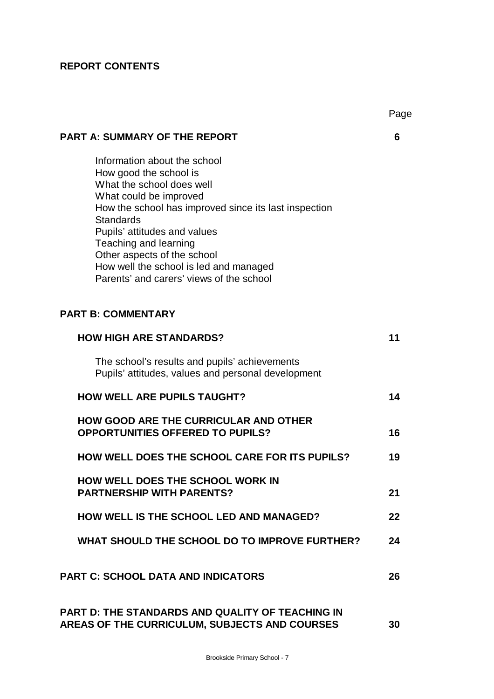# **REPORT CONTENTS**

|                                                                                                                                                                                                                                                                                                                                                                          | Pag |
|--------------------------------------------------------------------------------------------------------------------------------------------------------------------------------------------------------------------------------------------------------------------------------------------------------------------------------------------------------------------------|-----|
| <b>PART A: SUMMARY OF THE REPORT</b>                                                                                                                                                                                                                                                                                                                                     | 6   |
| Information about the school<br>How good the school is<br>What the school does well<br>What could be improved<br>How the school has improved since its last inspection<br><b>Standards</b><br>Pupils' attitudes and values<br>Teaching and learning<br>Other aspects of the school<br>How well the school is led and managed<br>Parents' and carers' views of the school |     |
| <b>PART B: COMMENTARY</b>                                                                                                                                                                                                                                                                                                                                                |     |
| <b>HOW HIGH ARE STANDARDS?</b>                                                                                                                                                                                                                                                                                                                                           | 11  |
| The school's results and pupils' achievements<br>Pupils' attitudes, values and personal development                                                                                                                                                                                                                                                                      |     |
| <b>HOW WELL ARE PUPILS TAUGHT?</b>                                                                                                                                                                                                                                                                                                                                       | 14  |
| <b>HOW GOOD ARE THE CURRICULAR AND OTHER</b><br><b>OPPORTUNITIES OFFERED TO PUPILS?</b>                                                                                                                                                                                                                                                                                  | 16  |
| <b>HOW WELL DOES THE SCHOOL CARE FOR ITS PUPILS?</b>                                                                                                                                                                                                                                                                                                                     | 19  |
| HOW WELL DOES THE SCHOOL WORK IN<br><b>PARTNERSHIP WITH PARENTS?</b>                                                                                                                                                                                                                                                                                                     | 21  |
| <b>HOW WELL IS THE SCHOOL LED AND MANAGED?</b>                                                                                                                                                                                                                                                                                                                           | 22  |
| WHAT SHOULD THE SCHOOL DO TO IMPROVE FURTHER?                                                                                                                                                                                                                                                                                                                            | 24  |
| <b>PART C: SCHOOL DATA AND INDICATORS</b>                                                                                                                                                                                                                                                                                                                                | 26  |
| <b>PART D: THE STANDARDS AND QUALITY OF TEACHING IN</b><br>AREAS OF THE CURRICULUM, SUBJECTS AND COURSES                                                                                                                                                                                                                                                                 | 30  |

Page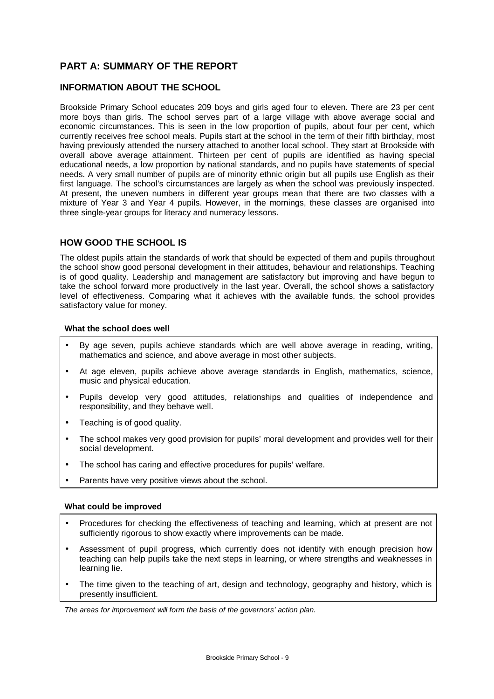# **PART A: SUMMARY OF THE REPORT**

#### **INFORMATION ABOUT THE SCHOOL**

Brookside Primary School educates 209 boys and girls aged four to eleven. There are 23 per cent more boys than girls. The school serves part of a large village with above average social and economic circumstances. This is seen in the low proportion of pupils, about four per cent, which currently receives free school meals. Pupils start at the school in the term of their fifth birthday, most having previously attended the nursery attached to another local school. They start at Brookside with overall above average attainment. Thirteen per cent of pupils are identified as having special educational needs, a low proportion by national standards, and no pupils have statements of special needs. A very small number of pupils are of minority ethnic origin but all pupils use English as their first language. The school's circumstances are largely as when the school was previously inspected. At present, the uneven numbers in different year groups mean that there are two classes with a mixture of Year 3 and Year 4 pupils. However, in the mornings, these classes are organised into three single-year groups for literacy and numeracy lessons.

#### **HOW GOOD THE SCHOOL IS**

The oldest pupils attain the standards of work that should be expected of them and pupils throughout the school show good personal development in their attitudes, behaviour and relationships. Teaching is of good quality. Leadership and management are satisfactory but improving and have begun to take the school forward more productively in the last year. Overall, the school shows a satisfactory level of effectiveness. Comparing what it achieves with the available funds, the school provides satisfactory value for money.

#### **What the school does well**

- By age seven, pupils achieve standards which are well above average in reading, writing, mathematics and science, and above average in most other subjects.
- At age eleven, pupils achieve above average standards in English, mathematics, science, music and physical education.
- Pupils develop very good attitudes, relationships and qualities of independence and responsibility, and they behave well.
- Teaching is of good quality.
- The school makes very good provision for pupils' moral development and provides well for their social development.
- The school has caring and effective procedures for pupils' welfare.
- Parents have very positive views about the school.

#### **What could be improved**

- Procedures for checking the effectiveness of teaching and learning, which at present are not sufficiently rigorous to show exactly where improvements can be made.
- Assessment of pupil progress, which currently does not identify with enough precision how teaching can help pupils take the next steps in learning, or where strengths and weaknesses in learning lie.
- The time given to the teaching of art, design and technology, geography and history, which is presently insufficient.

*The areas for improvement will form the basis of the governors' action plan.*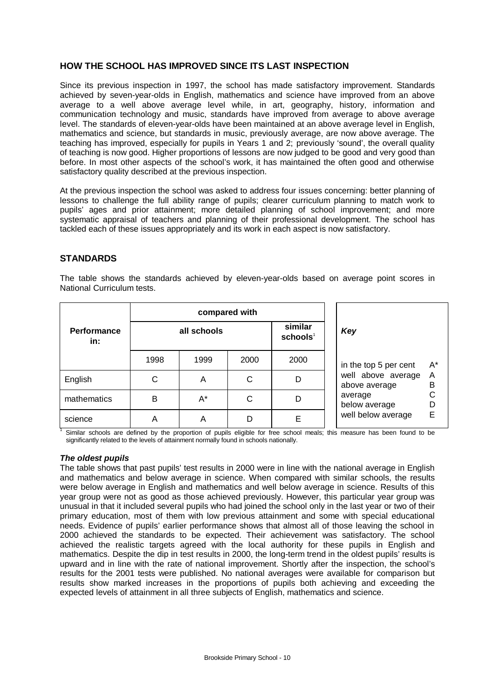#### **HOW THE SCHOOL HAS IMPROVED SINCE ITS LAST INSPECTION**

Since its previous inspection in 1997, the school has made satisfactory improvement. Standards achieved by seven-year-olds in English, mathematics and science have improved from an above average to a well above average level while, in art, geography, history, information and communication technology and music, standards have improved from average to above average level. The standards of eleven-year-olds have been maintained at an above average level in English, mathematics and science, but standards in music, previously average, are now above average. The teaching has improved, especially for pupils in Years 1 and 2; previously 'sound', the overall quality of teaching is now good. Higher proportions of lessons are now judged to be good and very good than before. In most other aspects of the school's work, it has maintained the often good and otherwise satisfactory quality described at the previous inspection.

At the previous inspection the school was asked to address four issues concerning: better planning of lessons to challenge the full ability range of pupils; clearer curriculum planning to match work to pupils' ages and prior attainment; more detailed planning of school improvement; and more systematic appraisal of teachers and planning of their professional development. The school has tackled each of these issues appropriately and its work in each aspect is now satisfactory.

#### **STANDARDS**

The table shows the standards achieved by eleven-year-olds based on average point scores in National Curriculum tests.

|                           | compared with |      |      |                                 |                                               |  |  |
|---------------------------|---------------|------|------|---------------------------------|-----------------------------------------------|--|--|
| <b>Performance</b><br>in: | all schools   |      |      | similar<br>schools <sup>1</sup> | Key                                           |  |  |
|                           | 1998          | 1999 | 2000 | 2000                            | $A^*$<br>in the top 5 per cent                |  |  |
| English                   | С             | A    | С    | D                               | Α<br>well above average<br>в<br>above average |  |  |
| mathematics               | в             | A*   | С    | D                               | С<br>average<br>D<br>below average            |  |  |
| science                   | Α             | A    | D    | Е                               | E<br>well below average                       |  |  |

 Similar schools are defined by the proportion of pupils eligible for free school meals; this measure has been found to be significantly related to the levels of attainment normally found in schools nationally.

#### *The oldest pupils*

1

The table shows that past pupils' test results in 2000 were in line with the national average in English and mathematics and below average in science. When compared with similar schools, the results were below average in English and mathematics and well below average in science. Results of this year group were not as good as those achieved previously. However, this particular year group was unusual in that it included several pupils who had joined the school only in the last year or two of their primary education, most of them with low previous attainment and some with special educational needs. Evidence of pupils' earlier performance shows that almost all of those leaving the school in 2000 achieved the standards to be expected. Their achievement was satisfactory. The school achieved the realistic targets agreed with the local authority for these pupils in English and mathematics. Despite the dip in test results in 2000, the long-term trend in the oldest pupils' results is upward and in line with the rate of national improvement. Shortly after the inspection, the school's results for the 2001 tests were published. No national averages were available for comparison but results show marked increases in the proportions of pupils both achieving and exceeding the expected levels of attainment in all three subjects of English, mathematics and science.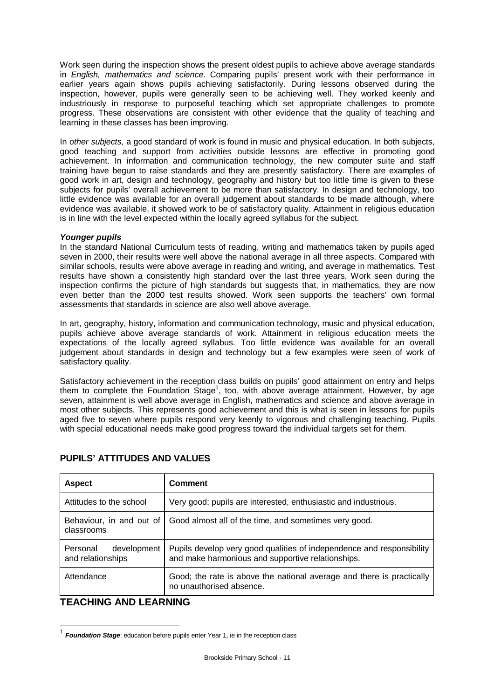Work seen during the inspection shows the present oldest pupils to achieve above average standards in *English, mathematics and science*. Comparing pupils' present work with their performance in earlier years again shows pupils achieving satisfactorily. During lessons observed during the inspection, however, pupils were generally seen to be achieving well. They worked keenly and industriously in response to purposeful teaching which set appropriate challenges to promote progress. These observations are consistent with other evidence that the quality of teaching and learning in these classes has been improving.

In *other subjects,* a good standard of work is found in music and physical education. In both subjects, good teaching and support from activities outside lessons are effective in promoting good achievement. In information and communication technology, the new computer suite and staff training have begun to raise standards and they are presently satisfactory. There are examples of good work in art, design and technology, geography and history but too little time is given to these subjects for pupils' overall achievement to be more than satisfactory. In design and technology, too little evidence was available for an overall judgement about standards to be made although, where evidence was available, it showed work to be of satisfactory quality. Attainment in religious education is in line with the level expected within the locally agreed syllabus for the subject.

#### *Younger pupils*

In the standard National Curriculum tests of reading, writing and mathematics taken by pupils aged seven in 2000, their results were well above the national average in all three aspects. Compared with similar schools, results were above average in reading and writing, and average in mathematics. Test results have shown a consistently high standard over the last three years. Work seen during the inspection confirms the picture of high standards but suggests that, in mathematics, they are now even better than the 2000 test results showed. Work seen supports the teachers' own formal assessments that standards in science are also well above average.

In art, geography, history, information and communication technology, music and physical education, pupils achieve above average standards of work. Attainment in religious education meets the expectations of the locally agreed syllabus. Too little evidence was available for an overall judgement about standards in design and technology but a few examples were seen of work of satisfactory quality.

Satisfactory achievement in the reception class builds on pupils' good attainment on entry and helps them to complete the Foundation Stage<sup>1</sup>, too, with above average attainment. However, by age seven, attainment is well above average in English, mathematics and science and above average in most other subjects. This represents good achievement and this is what is seen in lessons for pupils aged five to seven where pupils respond very keenly to vigorous and challenging teaching. Pupils with special educational needs make good progress toward the individual targets set for them.

| <b>Aspect</b>                                | <b>Comment</b>                                                                                                             |
|----------------------------------------------|----------------------------------------------------------------------------------------------------------------------------|
| Attitudes to the school                      | Very good; pupils are interested, enthusiastic and industrious.                                                            |
| Behaviour, in and out of<br>classrooms       | Good almost all of the time, and sometimes very good.                                                                      |
| Personal<br>development<br>and relationships | Pupils develop very good qualities of independence and responsibility<br>and make harmonious and supportive relationships. |
| Attendance                                   | Good; the rate is above the national average and there is practically<br>no unauthorised absence.                          |

### **PUPILS' ATTITUDES AND VALUES**

### **TEACHING AND LEARNING**

l

<sup>&</sup>lt;sup>1</sup> Foundation Stage: education before pupils enter Year 1, ie in the reception class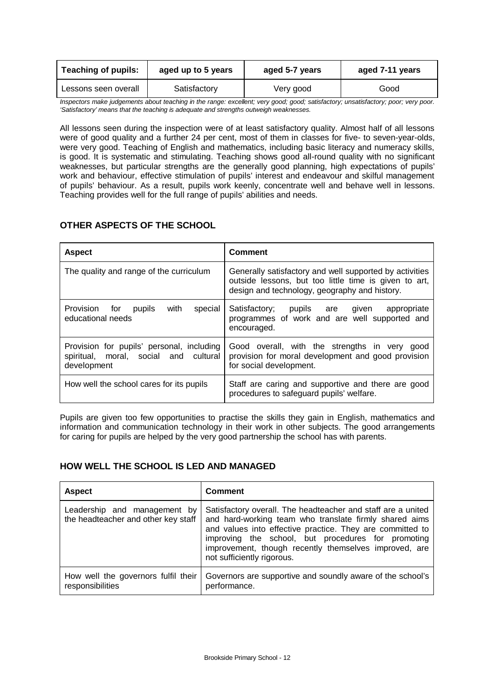| <b>Teaching of pupils:</b> | aged up to 5 years | aged 5-7 years | aged 7-11 years |
|----------------------------|--------------------|----------------|-----------------|
| Lessons seen overall       | Satisfactory       | Very good      | Good            |

*Inspectors make judgements about teaching in the range: excellent; very good; good; satisfactory; unsatisfactory; poor; very poor. 'Satisfactory' means that the teaching is adequate and strengths outweigh weaknesses.*

All lessons seen during the inspection were of at least satisfactory quality. Almost half of all lessons were of good quality and a further 24 per cent, most of them in classes for five- to seven-year-olds, were very good. Teaching of English and mathematics, including basic literacy and numeracy skills, is good. It is systematic and stimulating. Teaching shows good all-round quality with no significant weaknesses, but particular strengths are the generally good planning, high expectations of pupils' work and behaviour, effective stimulation of pupils' interest and endeavour and skilful management of pupils' behaviour. As a result, pupils work keenly, concentrate well and behave well in lessons. Teaching provides well for the full range of pupils' abilities and needs.

### **OTHER ASPECTS OF THE SCHOOL**

| <b>Aspect</b>                                                                                     | <b>Comment</b>                                                                                                                                                    |
|---------------------------------------------------------------------------------------------------|-------------------------------------------------------------------------------------------------------------------------------------------------------------------|
| The quality and range of the curriculum                                                           | Generally satisfactory and well supported by activities<br>outside lessons, but too little time is given to art,<br>design and technology, geography and history. |
| Provision for<br>with<br>pupils<br>special<br>educational needs                                   | Satisfactory;<br>pupils are given<br>appropriate<br>programmes of work and are well supported and<br>encouraged.                                                  |
| Provision for pupils' personal, including<br>spiritual, moral, social and cultural<br>development | Good overall, with the strengths in very<br>good<br>provision for moral development and good provision<br>for social development.                                 |
| How well the school cares for its pupils                                                          | Staff are caring and supportive and there are good<br>procedures to safeguard pupils' welfare.                                                                    |

Pupils are given too few opportunities to practise the skills they gain in English, mathematics and information and communication technology in their work in other subjects. The good arrangements for caring for pupils are helped by the very good partnership the school has with parents.

#### **HOW WELL THE SCHOOL IS LED AND MANAGED**

| <b>Aspect</b>                                                       | <b>Comment</b>                                                                                                                                                                                                                                                                                                                   |
|---------------------------------------------------------------------|----------------------------------------------------------------------------------------------------------------------------------------------------------------------------------------------------------------------------------------------------------------------------------------------------------------------------------|
| Leadership and management by<br>the headteacher and other key staff | Satisfactory overall. The headteacher and staff are a united<br>and hard-working team who translate firmly shared aims<br>and values into effective practice. They are committed to<br>improving the school, but procedures for promoting<br>improvement, though recently themselves improved, are<br>not sufficiently rigorous. |
| How well the governors fulfil their<br>responsibilities             | Governors are supportive and soundly aware of the school's<br>performance.                                                                                                                                                                                                                                                       |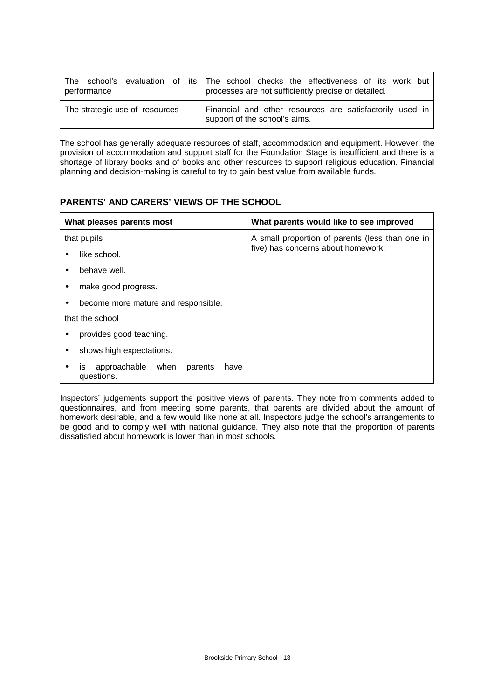| performance                    | The school's evaluation of its   The school checks the effectiveness of its work but<br>processes are not sufficiently precise or detailed. |
|--------------------------------|---------------------------------------------------------------------------------------------------------------------------------------------|
| The strategic use of resources | Financial and other resources are satisfactorily used in<br>support of the school's aims.                                                   |

The school has generally adequate resources of staff, accommodation and equipment. However, the provision of accommodation and support staff for the Foundation Stage is insufficient and there is a shortage of library books and of books and other resources to support religious education. Financial planning and decision-making is careful to try to gain best value from available funds.

### **PARENTS' AND CARERS' VIEWS OF THE SCHOOL**

|   | What pleases parents most                                | What parents would like to see improved         |
|---|----------------------------------------------------------|-------------------------------------------------|
|   | that pupils                                              | A small proportion of parents (less than one in |
|   | like school.                                             | five) has concerns about homework.              |
|   | behave well.                                             |                                                 |
|   | make good progress.                                      |                                                 |
| ٠ | become more mature and responsible.                      |                                                 |
|   | that the school                                          |                                                 |
|   | provides good teaching.                                  |                                                 |
|   | shows high expectations.                                 |                                                 |
|   | approachable<br>when parents<br>have<br>IS<br>questions. |                                                 |

Inspectors' judgements support the positive views of parents. They note from comments added to questionnaires, and from meeting some parents, that parents are divided about the amount of homework desirable, and a few would like none at all. Inspectors judge the school's arrangements to be good and to comply well with national guidance. They also note that the proportion of parents dissatisfied about homework is lower than in most schools.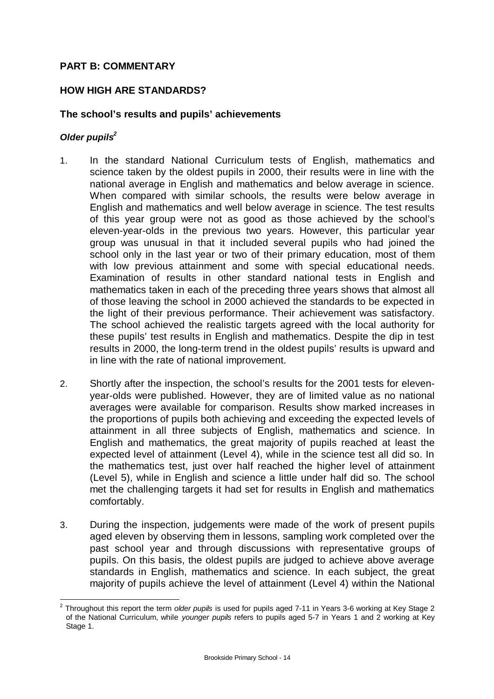# **PART B: COMMENTARY**

## **HOW HIGH ARE STANDARDS?**

### **The school's results and pupils' achievements**

#### *Older pupils<sup>2</sup>*

- 1. In the standard National Curriculum tests of English, mathematics and science taken by the oldest pupils in 2000, their results were in line with the national average in English and mathematics and below average in science. When compared with similar schools, the results were below average in English and mathematics and well below average in science. The test results of this year group were not as good as those achieved by the school's eleven-year-olds in the previous two years. However, this particular year group was unusual in that it included several pupils who had joined the school only in the last year or two of their primary education, most of them with low previous attainment and some with special educational needs. Examination of results in other standard national tests in English and mathematics taken in each of the preceding three years shows that almost all of those leaving the school in 2000 achieved the standards to be expected in the light of their previous performance. Their achievement was satisfactory. The school achieved the realistic targets agreed with the local authority for these pupils' test results in English and mathematics. Despite the dip in test results in 2000, the long-term trend in the oldest pupils' results is upward and in line with the rate of national improvement.
- 2. Shortly after the inspection, the school's results for the 2001 tests for elevenyear-olds were published. However, they are of limited value as no national averages were available for comparison. Results show marked increases in the proportions of pupils both achieving and exceeding the expected levels of attainment in all three subjects of English, mathematics and science. In English and mathematics, the great majority of pupils reached at least the expected level of attainment (Level 4), while in the science test all did so. In the mathematics test, just over half reached the higher level of attainment (Level 5), while in English and science a little under half did so. The school met the challenging targets it had set for results in English and mathematics comfortably.
- 3. During the inspection, judgements were made of the work of present pupils aged eleven by observing them in lessons, sampling work completed over the past school year and through discussions with representative groups of pupils. On this basis, the oldest pupils are judged to achieve above average standards in English, mathematics and science. In each subject, the great majority of pupils achieve the level of attainment (Level 4) within the National

l 2 Throughout this report the term *older pupils* is used for pupils aged 7-11 in Years 3-6 working at Key Stage 2 of the National Curriculum, while *younger pupils* refers to pupils aged 5-7 in Years 1 and 2 working at Key Stage 1.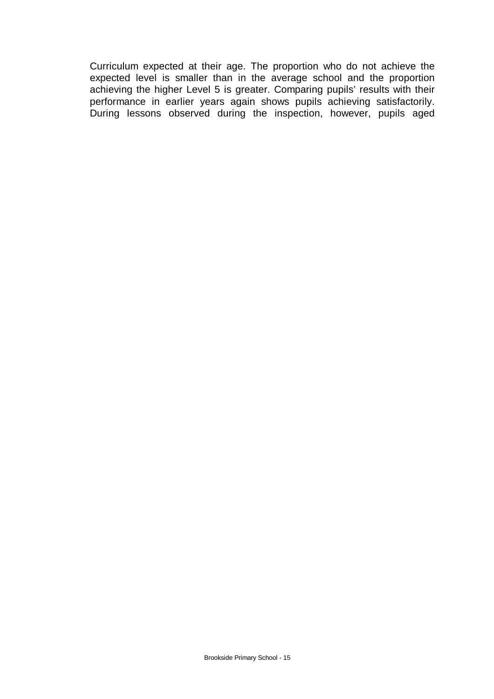Curriculum expected at their age. The proportion who do not achieve the expected level is smaller than in the average school and the proportion achieving the higher Level 5 is greater. Comparing pupils' results with their performance in earlier years again shows pupils achieving satisfactorily. During lessons observed during the inspection, however, pupils aged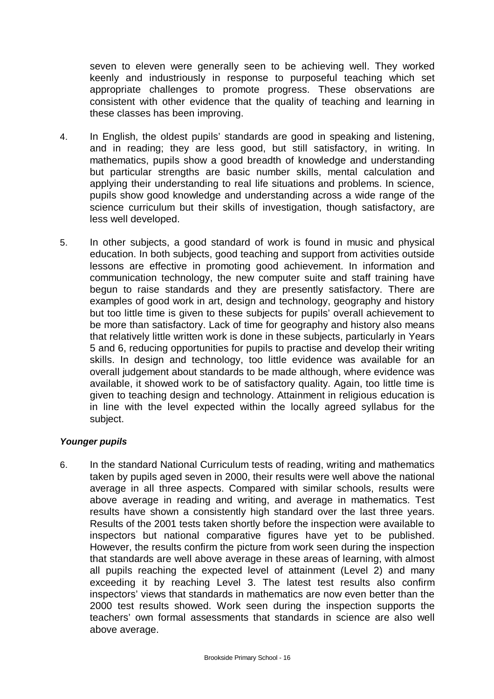seven to eleven were generally seen to be achieving well. They worked keenly and industriously in response to purposeful teaching which set appropriate challenges to promote progress. These observations are consistent with other evidence that the quality of teaching and learning in these classes has been improving.

- 4. In English, the oldest pupils' standards are good in speaking and listening, and in reading; they are less good, but still satisfactory, in writing. In mathematics, pupils show a good breadth of knowledge and understanding but particular strengths are basic number skills, mental calculation and applying their understanding to real life situations and problems. In science, pupils show good knowledge and understanding across a wide range of the science curriculum but their skills of investigation, though satisfactory, are less well developed.
- 5. In other subjects, a good standard of work is found in music and physical education. In both subjects, good teaching and support from activities outside lessons are effective in promoting good achievement. In information and communication technology, the new computer suite and staff training have begun to raise standards and they are presently satisfactory. There are examples of good work in art, design and technology, geography and history but too little time is given to these subjects for pupils' overall achievement to be more than satisfactory. Lack of time for geography and history also means that relatively little written work is done in these subjects, particularly in Years 5 and 6, reducing opportunities for pupils to practise and develop their writing skills. In design and technology, too little evidence was available for an overall judgement about standards to be made although, where evidence was available, it showed work to be of satisfactory quality. Again, too little time is given to teaching design and technology. Attainment in religious education is in line with the level expected within the locally agreed syllabus for the subject.

### *Younger pupils*

6. In the standard National Curriculum tests of reading, writing and mathematics taken by pupils aged seven in 2000, their results were well above the national average in all three aspects. Compared with similar schools, results were above average in reading and writing, and average in mathematics. Test results have shown a consistently high standard over the last three years. Results of the 2001 tests taken shortly before the inspection were available to inspectors but national comparative figures have yet to be published. However, the results confirm the picture from work seen during the inspection that standards are well above average in these areas of learning, with almost all pupils reaching the expected level of attainment (Level 2) and many exceeding it by reaching Level 3. The latest test results also confirm inspectors' views that standards in mathematics are now even better than the 2000 test results showed. Work seen during the inspection supports the teachers' own formal assessments that standards in science are also well above average.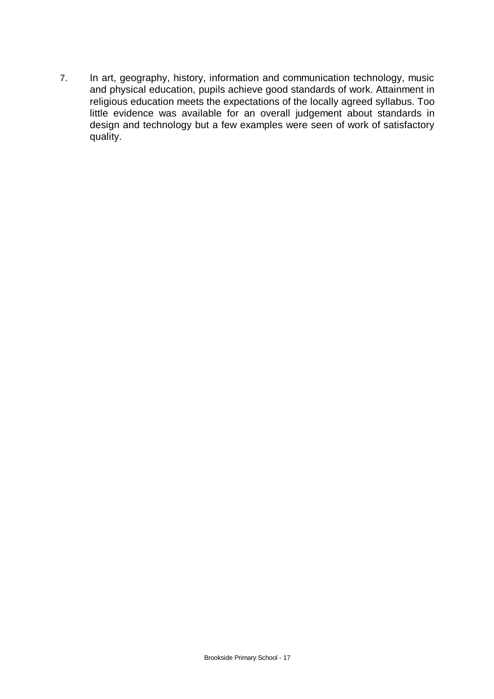7. In art, geography, history, information and communication technology, music and physical education, pupils achieve good standards of work. Attainment in religious education meets the expectations of the locally agreed syllabus. Too little evidence was available for an overall judgement about standards in design and technology but a few examples were seen of work of satisfactory quality.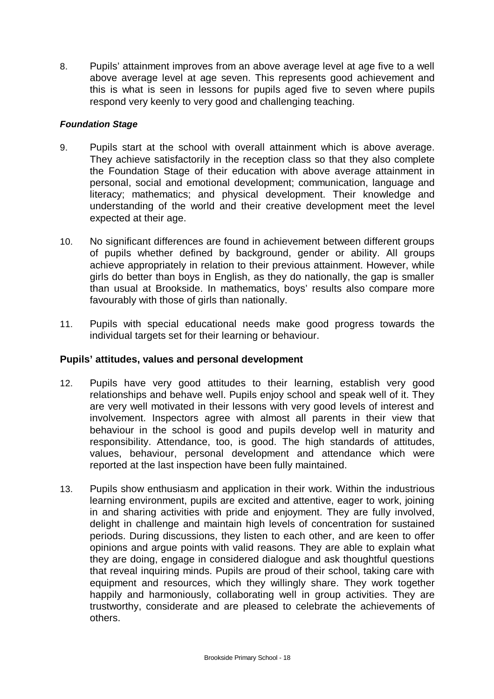8. Pupils' attainment improves from an above average level at age five to a well above average level at age seven. This represents good achievement and this is what is seen in lessons for pupils aged five to seven where pupils respond very keenly to very good and challenging teaching.

## *Foundation Stage*

- 9. Pupils start at the school with overall attainment which is above average. They achieve satisfactorily in the reception class so that they also complete the Foundation Stage of their education with above average attainment in personal, social and emotional development; communication, language and literacy; mathematics; and physical development. Their knowledge and understanding of the world and their creative development meet the level expected at their age.
- 10. No significant differences are found in achievement between different groups of pupils whether defined by background, gender or ability. All groups achieve appropriately in relation to their previous attainment. However, while girls do better than boys in English, as they do nationally, the gap is smaller than usual at Brookside. In mathematics, boys' results also compare more favourably with those of girls than nationally.
- 11. Pupils with special educational needs make good progress towards the individual targets set for their learning or behaviour.

# **Pupils' attitudes, values and personal development**

- 12. Pupils have very good attitudes to their learning, establish very good relationships and behave well. Pupils enjoy school and speak well of it. They are very well motivated in their lessons with very good levels of interest and involvement. Inspectors agree with almost all parents in their view that behaviour in the school is good and pupils develop well in maturity and responsibility. Attendance, too, is good. The high standards of attitudes, values, behaviour, personal development and attendance which were reported at the last inspection have been fully maintained.
- 13. Pupils show enthusiasm and application in their work. Within the industrious learning environment, pupils are excited and attentive, eager to work, joining in and sharing activities with pride and enjoyment. They are fully involved, delight in challenge and maintain high levels of concentration for sustained periods. During discussions, they listen to each other, and are keen to offer opinions and argue points with valid reasons. They are able to explain what they are doing, engage in considered dialogue and ask thoughtful questions that reveal inquiring minds. Pupils are proud of their school, taking care with equipment and resources, which they willingly share. They work together happily and harmoniously, collaborating well in group activities. They are trustworthy, considerate and are pleased to celebrate the achievements of others.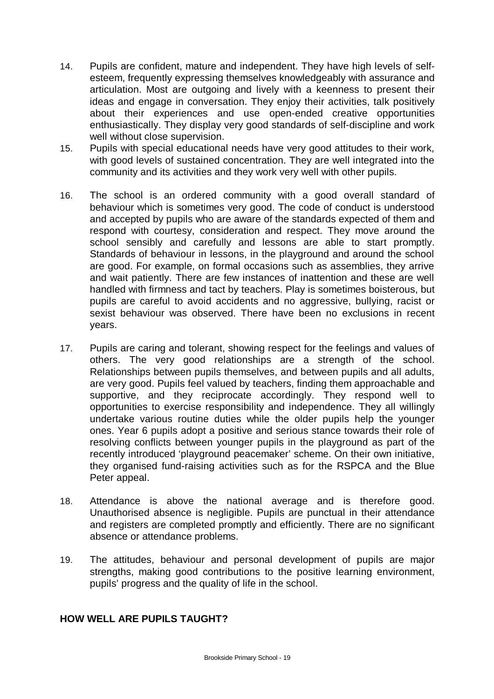- 14. Pupils are confident, mature and independent. They have high levels of selfesteem, frequently expressing themselves knowledgeably with assurance and articulation. Most are outgoing and lively with a keenness to present their ideas and engage in conversation. They enjoy their activities, talk positively about their experiences and use open-ended creative opportunities enthusiastically. They display very good standards of self-discipline and work well without close supervision.
- 15. Pupils with special educational needs have very good attitudes to their work, with good levels of sustained concentration. They are well integrated into the community and its activities and they work very well with other pupils.
- 16. The school is an ordered community with a good overall standard of behaviour which is sometimes very good. The code of conduct is understood and accepted by pupils who are aware of the standards expected of them and respond with courtesy, consideration and respect. They move around the school sensibly and carefully and lessons are able to start promptly. Standards of behaviour in lessons, in the playground and around the school are good. For example, on formal occasions such as assemblies, they arrive and wait patiently. There are few instances of inattention and these are well handled with firmness and tact by teachers. Play is sometimes boisterous, but pupils are careful to avoid accidents and no aggressive, bullying, racist or sexist behaviour was observed. There have been no exclusions in recent years.
- 17. Pupils are caring and tolerant, showing respect for the feelings and values of others. The very good relationships are a strength of the school. Relationships between pupils themselves, and between pupils and all adults, are very good. Pupils feel valued by teachers, finding them approachable and supportive, and they reciprocate accordingly. They respond well to opportunities to exercise responsibility and independence. They all willingly undertake various routine duties while the older pupils help the younger ones. Year 6 pupils adopt a positive and serious stance towards their role of resolving conflicts between younger pupils in the playground as part of the recently introduced 'playground peacemaker' scheme. On their own initiative, they organised fund-raising activities such as for the RSPCA and the Blue Peter appeal.
- 18. Attendance is above the national average and is therefore good. Unauthorised absence is negligible. Pupils are punctual in their attendance and registers are completed promptly and efficiently. There are no significant absence or attendance problems.
- 19. The attitudes, behaviour and personal development of pupils are major strengths, making good contributions to the positive learning environment, pupils' progress and the quality of life in the school.

## **HOW WELL ARE PUPILS TAUGHT?**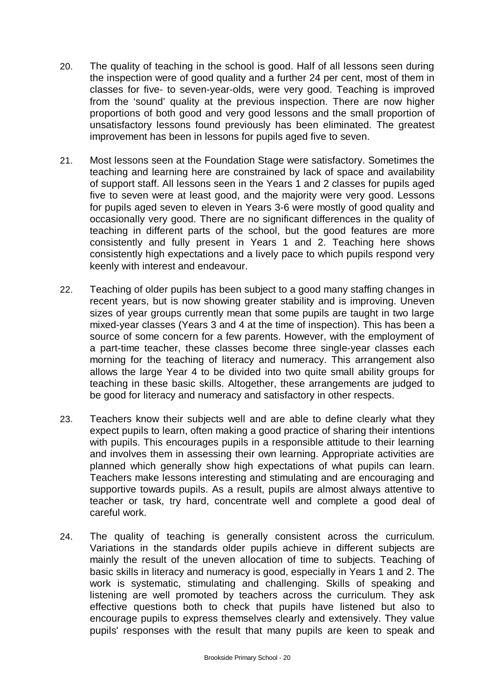- 20. The quality of teaching in the school is good. Half of all lessons seen during the inspection were of good quality and a further 24 per cent, most of them in classes for five- to seven-year-olds, were very good. Teaching is improved from the 'sound' quality at the previous inspection. There are now higher proportions of both good and very good lessons and the small proportion of unsatisfactory lessons found previously has been eliminated. The greatest improvement has been in lessons for pupils aged five to seven.
- 21. Most lessons seen at the Foundation Stage were satisfactory. Sometimes the teaching and learning here are constrained by lack of space and availability of support staff. All lessons seen in the Years 1 and 2 classes for pupils aged five to seven were at least good, and the majority were very good. Lessons for pupils aged seven to eleven in Years 3-6 were mostly of good quality and occasionally very good. There are no significant differences in the quality of teaching in different parts of the school, but the good features are more consistently and fully present in Years 1 and 2. Teaching here shows consistently high expectations and a lively pace to which pupils respond very keenly with interest and endeavour.
- 22. Teaching of older pupils has been subject to a good many staffing changes in recent years, but is now showing greater stability and is improving. Uneven sizes of year groups currently mean that some pupils are taught in two large mixed-year classes (Years 3 and 4 at the time of inspection). This has been a source of some concern for a few parents. However, with the employment of a part-time teacher, these classes become three single-year classes each morning for the teaching of literacy and numeracy. This arrangement also allows the large Year 4 to be divided into two quite small ability groups for teaching in these basic skills. Altogether, these arrangements are judged to be good for literacy and numeracy and satisfactory in other respects.
- 23. Teachers know their subjects well and are able to define clearly what they expect pupils to learn, often making a good practice of sharing their intentions with pupils. This encourages pupils in a responsible attitude to their learning and involves them in assessing their own learning. Appropriate activities are planned which generally show high expectations of what pupils can learn. Teachers make lessons interesting and stimulating and are encouraging and supportive towards pupils. As a result, pupils are almost always attentive to teacher or task, try hard, concentrate well and complete a good deal of careful work.
- 24. The quality of teaching is generally consistent across the curriculum. Variations in the standards older pupils achieve in different subjects are mainly the result of the uneven allocation of time to subjects. Teaching of basic skills in literacy and numeracy is good, especially in Years 1 and 2. The work is systematic, stimulating and challenging. Skills of speaking and listening are well promoted by teachers across the curriculum. They ask effective questions both to check that pupils have listened but also to encourage pupils to express themselves clearly and extensively. They value pupils' responses with the result that many pupils are keen to speak and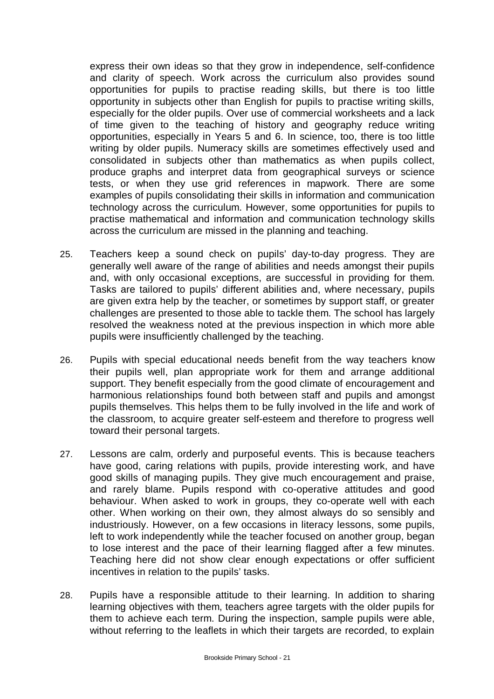express their own ideas so that they grow in independence, self-confidence and clarity of speech. Work across the curriculum also provides sound opportunities for pupils to practise reading skills, but there is too little opportunity in subjects other than English for pupils to practise writing skills, especially for the older pupils. Over use of commercial worksheets and a lack of time given to the teaching of history and geography reduce writing opportunities, especially in Years 5 and 6. In science, too, there is too little writing by older pupils. Numeracy skills are sometimes effectively used and consolidated in subjects other than mathematics as when pupils collect, produce graphs and interpret data from geographical surveys or science tests, or when they use grid references in mapwork. There are some examples of pupils consolidating their skills in information and communication technology across the curriculum. However, some opportunities for pupils to practise mathematical and information and communication technology skills across the curriculum are missed in the planning and teaching.

- 25. Teachers keep a sound check on pupils' day-to-day progress. They are generally well aware of the range of abilities and needs amongst their pupils and, with only occasional exceptions, are successful in providing for them. Tasks are tailored to pupils' different abilities and, where necessary, pupils are given extra help by the teacher, or sometimes by support staff, or greater challenges are presented to those able to tackle them. The school has largely resolved the weakness noted at the previous inspection in which more able pupils were insufficiently challenged by the teaching.
- 26. Pupils with special educational needs benefit from the way teachers know their pupils well, plan appropriate work for them and arrange additional support. They benefit especially from the good climate of encouragement and harmonious relationships found both between staff and pupils and amongst pupils themselves. This helps them to be fully involved in the life and work of the classroom, to acquire greater self-esteem and therefore to progress well toward their personal targets.
- 27. Lessons are calm, orderly and purposeful events. This is because teachers have good, caring relations with pupils, provide interesting work, and have good skills of managing pupils. They give much encouragement and praise, and rarely blame. Pupils respond with co-operative attitudes and good behaviour. When asked to work in groups, they co-operate well with each other. When working on their own, they almost always do so sensibly and industriously. However, on a few occasions in literacy lessons, some pupils, left to work independently while the teacher focused on another group, began to lose interest and the pace of their learning flagged after a few minutes. Teaching here did not show clear enough expectations or offer sufficient incentives in relation to the pupils' tasks.
- 28. Pupils have a responsible attitude to their learning. In addition to sharing learning objectives with them, teachers agree targets with the older pupils for them to achieve each term. During the inspection, sample pupils were able, without referring to the leaflets in which their targets are recorded, to explain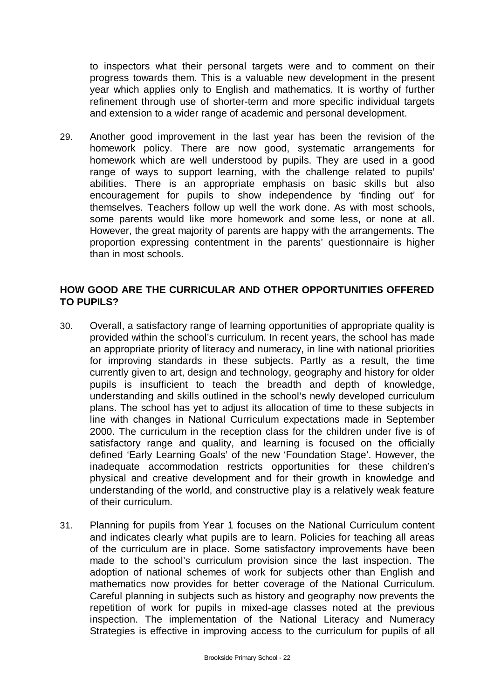to inspectors what their personal targets were and to comment on their progress towards them. This is a valuable new development in the present year which applies only to English and mathematics. It is worthy of further refinement through use of shorter-term and more specific individual targets and extension to a wider range of academic and personal development.

29. Another good improvement in the last year has been the revision of the homework policy. There are now good, systematic arrangements for homework which are well understood by pupils. They are used in a good range of ways to support learning, with the challenge related to pupils' abilities. There is an appropriate emphasis on basic skills but also encouragement for pupils to show independence by 'finding out' for themselves. Teachers follow up well the work done. As with most schools, some parents would like more homework and some less, or none at all. However, the great majority of parents are happy with the arrangements. The proportion expressing contentment in the parents' questionnaire is higher than in most schools.

## **HOW GOOD ARE THE CURRICULAR AND OTHER OPPORTUNITIES OFFERED TO PUPILS?**

- 30. Overall, a satisfactory range of learning opportunities of appropriate quality is provided within the school's curriculum. In recent years, the school has made an appropriate priority of literacy and numeracy, in line with national priorities for improving standards in these subjects. Partly as a result, the time currently given to art, design and technology, geography and history for older pupils is insufficient to teach the breadth and depth of knowledge, understanding and skills outlined in the school's newly developed curriculum plans. The school has yet to adjust its allocation of time to these subjects in line with changes in National Curriculum expectations made in September 2000. The curriculum in the reception class for the children under five is of satisfactory range and quality, and learning is focused on the officially defined 'Early Learning Goals' of the new 'Foundation Stage'. However, the inadequate accommodation restricts opportunities for these children's physical and creative development and for their growth in knowledge and understanding of the world, and constructive play is a relatively weak feature of their curriculum.
- 31. Planning for pupils from Year 1 focuses on the National Curriculum content and indicates clearly what pupils are to learn. Policies for teaching all areas of the curriculum are in place. Some satisfactory improvements have been made to the school's curriculum provision since the last inspection. The adoption of national schemes of work for subjects other than English and mathematics now provides for better coverage of the National Curriculum. Careful planning in subjects such as history and geography now prevents the repetition of work for pupils in mixed-age classes noted at the previous inspection. The implementation of the National Literacy and Numeracy Strategies is effective in improving access to the curriculum for pupils of all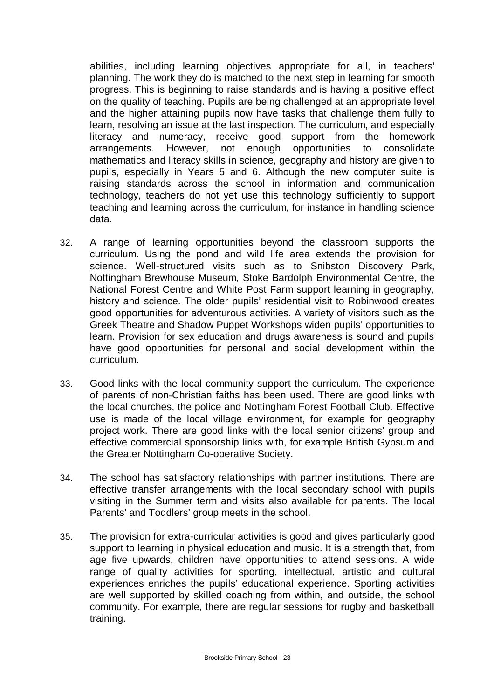abilities, including learning objectives appropriate for all, in teachers' planning. The work they do is matched to the next step in learning for smooth progress. This is beginning to raise standards and is having a positive effect on the quality of teaching. Pupils are being challenged at an appropriate level and the higher attaining pupils now have tasks that challenge them fully to learn, resolving an issue at the last inspection. The curriculum, and especially literacy and numeracy, receive good support from the homework arrangements. However, not enough opportunities to consolidate mathematics and literacy skills in science, geography and history are given to pupils, especially in Years 5 and 6. Although the new computer suite is raising standards across the school in information and communication technology, teachers do not yet use this technology sufficiently to support teaching and learning across the curriculum, for instance in handling science data.

- 32. A range of learning opportunities beyond the classroom supports the curriculum. Using the pond and wild life area extends the provision for science. Well-structured visits such as to Snibston Discovery Park, Nottingham Brewhouse Museum, Stoke Bardolph Environmental Centre, the National Forest Centre and White Post Farm support learning in geography, history and science. The older pupils' residential visit to Robinwood creates good opportunities for adventurous activities. A variety of visitors such as the Greek Theatre and Shadow Puppet Workshops widen pupils' opportunities to learn. Provision for sex education and drugs awareness is sound and pupils have good opportunities for personal and social development within the curriculum.
- 33. Good links with the local community support the curriculum. The experience of parents of non-Christian faiths has been used. There are good links with the local churches, the police and Nottingham Forest Football Club. Effective use is made of the local village environment, for example for geography project work. There are good links with the local senior citizens' group and effective commercial sponsorship links with, for example British Gypsum and the Greater Nottingham Co-operative Society.
- 34. The school has satisfactory relationships with partner institutions. There are effective transfer arrangements with the local secondary school with pupils visiting in the Summer term and visits also available for parents. The local Parents' and Toddlers' group meets in the school.
- 35. The provision for extra-curricular activities is good and gives particularly good support to learning in physical education and music. It is a strength that, from age five upwards, children have opportunities to attend sessions. A wide range of quality activities for sporting, intellectual, artistic and cultural experiences enriches the pupils' educational experience. Sporting activities are well supported by skilled coaching from within, and outside, the school community. For example, there are regular sessions for rugby and basketball training.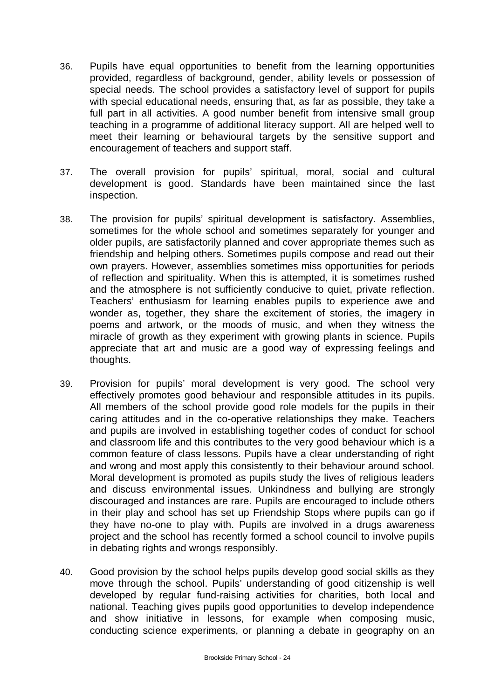- 36. Pupils have equal opportunities to benefit from the learning opportunities provided, regardless of background, gender, ability levels or possession of special needs. The school provides a satisfactory level of support for pupils with special educational needs, ensuring that, as far as possible, they take a full part in all activities. A good number benefit from intensive small group teaching in a programme of additional literacy support. All are helped well to meet their learning or behavioural targets by the sensitive support and encouragement of teachers and support staff.
- 37. The overall provision for pupils' spiritual, moral, social and cultural development is good. Standards have been maintained since the last inspection.
- 38. The provision for pupils' spiritual development is satisfactory. Assemblies, sometimes for the whole school and sometimes separately for younger and older pupils, are satisfactorily planned and cover appropriate themes such as friendship and helping others. Sometimes pupils compose and read out their own prayers. However, assemblies sometimes miss opportunities for periods of reflection and spirituality. When this is attempted, it is sometimes rushed and the atmosphere is not sufficiently conducive to quiet, private reflection. Teachers' enthusiasm for learning enables pupils to experience awe and wonder as, together, they share the excitement of stories, the imagery in poems and artwork, or the moods of music, and when they witness the miracle of growth as they experiment with growing plants in science. Pupils appreciate that art and music are a good way of expressing feelings and thoughts.
- 39. Provision for pupils' moral development is very good. The school very effectively promotes good behaviour and responsible attitudes in its pupils. All members of the school provide good role models for the pupils in their caring attitudes and in the co-operative relationships they make. Teachers and pupils are involved in establishing together codes of conduct for school and classroom life and this contributes to the very good behaviour which is a common feature of class lessons. Pupils have a clear understanding of right and wrong and most apply this consistently to their behaviour around school. Moral development is promoted as pupils study the lives of religious leaders and discuss environmental issues. Unkindness and bullying are strongly discouraged and instances are rare. Pupils are encouraged to include others in their play and school has set up Friendship Stops where pupils can go if they have no-one to play with. Pupils are involved in a drugs awareness project and the school has recently formed a school council to involve pupils in debating rights and wrongs responsibly.
- 40. Good provision by the school helps pupils develop good social skills as they move through the school. Pupils' understanding of good citizenship is well developed by regular fund-raising activities for charities, both local and national. Teaching gives pupils good opportunities to develop independence and show initiative in lessons, for example when composing music, conducting science experiments, or planning a debate in geography on an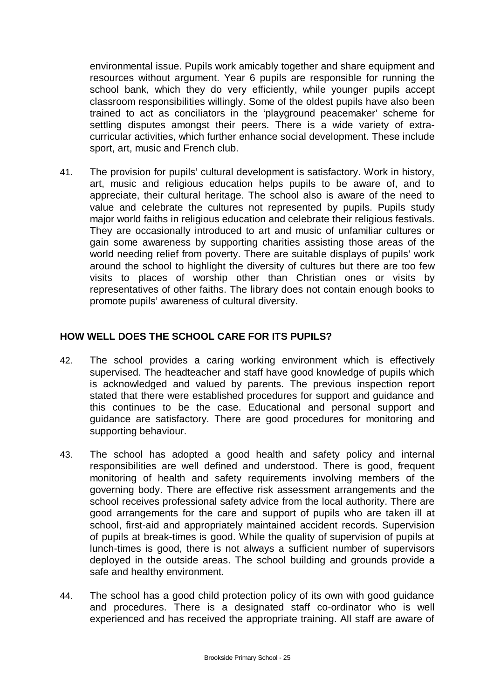environmental issue. Pupils work amicably together and share equipment and resources without argument. Year 6 pupils are responsible for running the school bank, which they do very efficiently, while younger pupils accept classroom responsibilities willingly. Some of the oldest pupils have also been trained to act as conciliators in the 'playground peacemaker' scheme for settling disputes amongst their peers. There is a wide variety of extracurricular activities, which further enhance social development. These include sport, art, music and French club.

41. The provision for pupils' cultural development is satisfactory. Work in history, art, music and religious education helps pupils to be aware of, and to appreciate, their cultural heritage. The school also is aware of the need to value and celebrate the cultures not represented by pupils. Pupils study major world faiths in religious education and celebrate their religious festivals. They are occasionally introduced to art and music of unfamiliar cultures or gain some awareness by supporting charities assisting those areas of the world needing relief from poverty. There are suitable displays of pupils' work around the school to highlight the diversity of cultures but there are too few visits to places of worship other than Christian ones or visits by representatives of other faiths. The library does not contain enough books to promote pupils' awareness of cultural diversity.

## **HOW WELL DOES THE SCHOOL CARE FOR ITS PUPILS?**

- 42. The school provides a caring working environment which is effectively supervised. The headteacher and staff have good knowledge of pupils which is acknowledged and valued by parents. The previous inspection report stated that there were established procedures for support and guidance and this continues to be the case. Educational and personal support and guidance are satisfactory. There are good procedures for monitoring and supporting behaviour.
- 43. The school has adopted a good health and safety policy and internal responsibilities are well defined and understood. There is good, frequent monitoring of health and safety requirements involving members of the governing body. There are effective risk assessment arrangements and the school receives professional safety advice from the local authority. There are good arrangements for the care and support of pupils who are taken ill at school, first-aid and appropriately maintained accident records. Supervision of pupils at break-times is good. While the quality of supervision of pupils at lunch-times is good, there is not always a sufficient number of supervisors deployed in the outside areas. The school building and grounds provide a safe and healthy environment.
- 44. The school has a good child protection policy of its own with good guidance and procedures. There is a designated staff co-ordinator who is well experienced and has received the appropriate training. All staff are aware of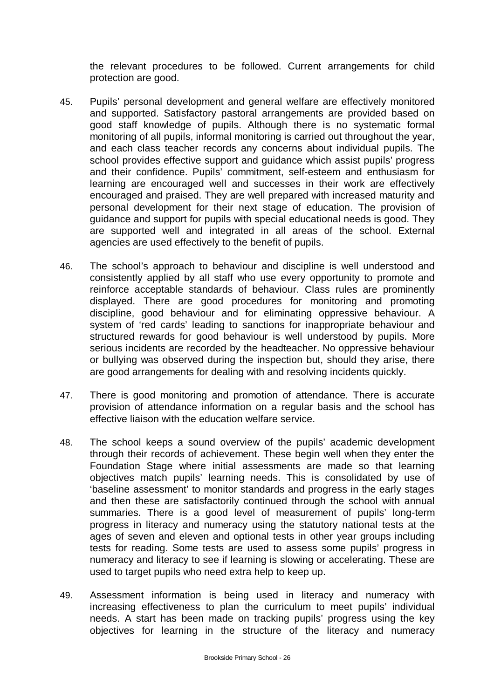the relevant procedures to be followed. Current arrangements for child protection are good.

- 45. Pupils' personal development and general welfare are effectively monitored and supported. Satisfactory pastoral arrangements are provided based on good staff knowledge of pupils. Although there is no systematic formal monitoring of all pupils, informal monitoring is carried out throughout the year, and each class teacher records any concerns about individual pupils. The school provides effective support and guidance which assist pupils' progress and their confidence. Pupils' commitment, self-esteem and enthusiasm for learning are encouraged well and successes in their work are effectively encouraged and praised. They are well prepared with increased maturity and personal development for their next stage of education. The provision of guidance and support for pupils with special educational needs is good. They are supported well and integrated in all areas of the school. External agencies are used effectively to the benefit of pupils.
- 46. The school's approach to behaviour and discipline is well understood and consistently applied by all staff who use every opportunity to promote and reinforce acceptable standards of behaviour. Class rules are prominently displayed. There are good procedures for monitoring and promoting discipline, good behaviour and for eliminating oppressive behaviour. A system of 'red cards' leading to sanctions for inappropriate behaviour and structured rewards for good behaviour is well understood by pupils. More serious incidents are recorded by the headteacher. No oppressive behaviour or bullying was observed during the inspection but, should they arise, there are good arrangements for dealing with and resolving incidents quickly.
- 47. There is good monitoring and promotion of attendance. There is accurate provision of attendance information on a regular basis and the school has effective liaison with the education welfare service.
- 48. The school keeps a sound overview of the pupils' academic development through their records of achievement. These begin well when they enter the Foundation Stage where initial assessments are made so that learning objectives match pupils' learning needs. This is consolidated by use of 'baseline assessment' to monitor standards and progress in the early stages and then these are satisfactorily continued through the school with annual summaries. There is a good level of measurement of pupils' long-term progress in literacy and numeracy using the statutory national tests at the ages of seven and eleven and optional tests in other year groups including tests for reading. Some tests are used to assess some pupils' progress in numeracy and literacy to see if learning is slowing or accelerating. These are used to target pupils who need extra help to keep up.
- 49. Assessment information is being used in literacy and numeracy with increasing effectiveness to plan the curriculum to meet pupils' individual needs. A start has been made on tracking pupils' progress using the key objectives for learning in the structure of the literacy and numeracy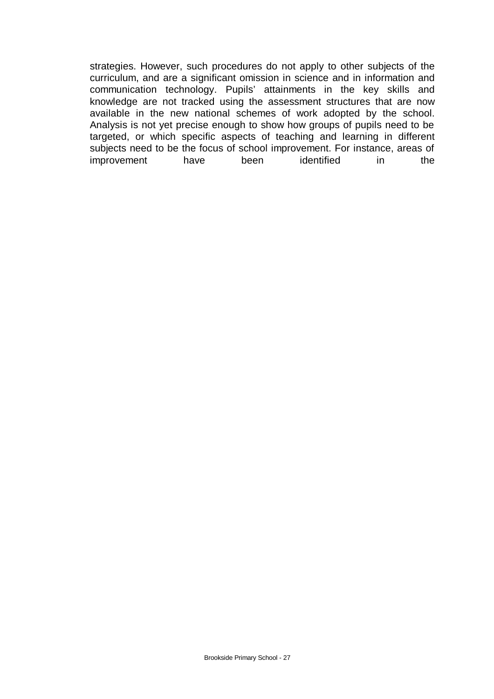strategies. However, such procedures do not apply to other subjects of the curriculum, and are a significant omission in science and in information and communication technology. Pupils' attainments in the key skills and knowledge are not tracked using the assessment structures that are now available in the new national schemes of work adopted by the school. Analysis is not yet precise enough to show how groups of pupils need to be targeted, or which specific aspects of teaching and learning in different subjects need to be the focus of school improvement. For instance, areas of improvement have been identified in the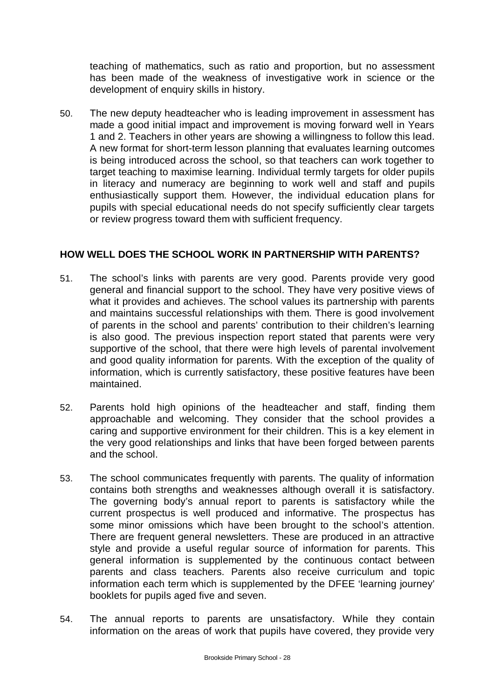teaching of mathematics, such as ratio and proportion, but no assessment has been made of the weakness of investigative work in science or the development of enquiry skills in history.

50. The new deputy headteacher who is leading improvement in assessment has made a good initial impact and improvement is moving forward well in Years 1 and 2. Teachers in other years are showing a willingness to follow this lead. A new format for short-term lesson planning that evaluates learning outcomes is being introduced across the school, so that teachers can work together to target teaching to maximise learning. Individual termly targets for older pupils in literacy and numeracy are beginning to work well and staff and pupils enthusiastically support them. However, the individual education plans for pupils with special educational needs do not specify sufficiently clear targets or review progress toward them with sufficient frequency.

### **HOW WELL DOES THE SCHOOL WORK IN PARTNERSHIP WITH PARENTS?**

- 51. The school's links with parents are very good. Parents provide very good general and financial support to the school. They have very positive views of what it provides and achieves. The school values its partnership with parents and maintains successful relationships with them. There is good involvement of parents in the school and parents' contribution to their children's learning is also good. The previous inspection report stated that parents were very supportive of the school, that there were high levels of parental involvement and good quality information for parents. With the exception of the quality of information, which is currently satisfactory, these positive features have been maintained.
- 52. Parents hold high opinions of the headteacher and staff, finding them approachable and welcoming. They consider that the school provides a caring and supportive environment for their children. This is a key element in the very good relationships and links that have been forged between parents and the school.
- 53. The school communicates frequently with parents. The quality of information contains both strengths and weaknesses although overall it is satisfactory. The governing body's annual report to parents is satisfactory while the current prospectus is well produced and informative. The prospectus has some minor omissions which have been brought to the school's attention. There are frequent general newsletters. These are produced in an attractive style and provide a useful regular source of information for parents. This general information is supplemented by the continuous contact between parents and class teachers. Parents also receive curriculum and topic information each term which is supplemented by the DFEE 'learning journey' booklets for pupils aged five and seven.
- 54. The annual reports to parents are unsatisfactory. While they contain information on the areas of work that pupils have covered, they provide very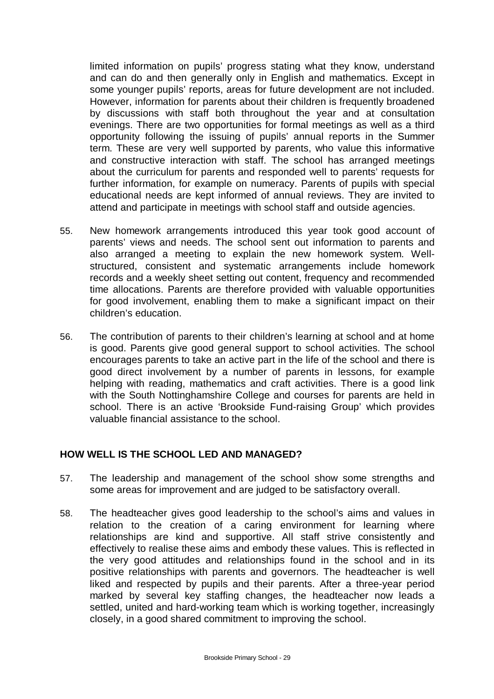limited information on pupils' progress stating what they know, understand and can do and then generally only in English and mathematics. Except in some younger pupils' reports, areas for future development are not included. However, information for parents about their children is frequently broadened by discussions with staff both throughout the year and at consultation evenings. There are two opportunities for formal meetings as well as a third opportunity following the issuing of pupils' annual reports in the Summer term. These are very well supported by parents, who value this informative and constructive interaction with staff. The school has arranged meetings about the curriculum for parents and responded well to parents' requests for further information, for example on numeracy. Parents of pupils with special educational needs are kept informed of annual reviews. They are invited to attend and participate in meetings with school staff and outside agencies.

- 55. New homework arrangements introduced this year took good account of parents' views and needs. The school sent out information to parents and also arranged a meeting to explain the new homework system. Wellstructured, consistent and systematic arrangements include homework records and a weekly sheet setting out content, frequency and recommended time allocations. Parents are therefore provided with valuable opportunities for good involvement, enabling them to make a significant impact on their children's education.
- 56. The contribution of parents to their children's learning at school and at home is good. Parents give good general support to school activities. The school encourages parents to take an active part in the life of the school and there is good direct involvement by a number of parents in lessons, for example helping with reading, mathematics and craft activities. There is a good link with the South Nottinghamshire College and courses for parents are held in school. There is an active 'Brookside Fund-raising Group' which provides valuable financial assistance to the school.

### **HOW WELL IS THE SCHOOL LED AND MANAGED?**

- 57. The leadership and management of the school show some strengths and some areas for improvement and are judged to be satisfactory overall.
- 58. The headteacher gives good leadership to the school's aims and values in relation to the creation of a caring environment for learning where relationships are kind and supportive. All staff strive consistently and effectively to realise these aims and embody these values. This is reflected in the very good attitudes and relationships found in the school and in its positive relationships with parents and governors. The headteacher is well liked and respected by pupils and their parents. After a three-year period marked by several key staffing changes, the headteacher now leads a settled, united and hard-working team which is working together, increasingly closely, in a good shared commitment to improving the school.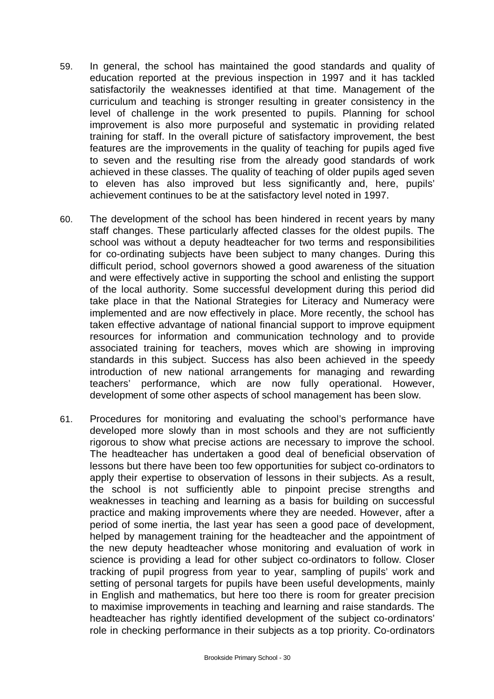- 59. In general, the school has maintained the good standards and quality of education reported at the previous inspection in 1997 and it has tackled satisfactorily the weaknesses identified at that time. Management of the curriculum and teaching is stronger resulting in greater consistency in the level of challenge in the work presented to pupils. Planning for school improvement is also more purposeful and systematic in providing related training for staff. In the overall picture of satisfactory improvement, the best features are the improvements in the quality of teaching for pupils aged five to seven and the resulting rise from the already good standards of work achieved in these classes. The quality of teaching of older pupils aged seven to eleven has also improved but less significantly and, here, pupils' achievement continues to be at the satisfactory level noted in 1997.
- 60. The development of the school has been hindered in recent years by many staff changes. These particularly affected classes for the oldest pupils. The school was without a deputy headteacher for two terms and responsibilities for co-ordinating subjects have been subject to many changes. During this difficult period, school governors showed a good awareness of the situation and were effectively active in supporting the school and enlisting the support of the local authority. Some successful development during this period did take place in that the National Strategies for Literacy and Numeracy were implemented and are now effectively in place. More recently, the school has taken effective advantage of national financial support to improve equipment resources for information and communication technology and to provide associated training for teachers, moves which are showing in improving standards in this subject. Success has also been achieved in the speedy introduction of new national arrangements for managing and rewarding teachers' performance, which are now fully operational. However, development of some other aspects of school management has been slow.
- 61. Procedures for monitoring and evaluating the school's performance have developed more slowly than in most schools and they are not sufficiently rigorous to show what precise actions are necessary to improve the school. The headteacher has undertaken a good deal of beneficial observation of lessons but there have been too few opportunities for subject co-ordinators to apply their expertise to observation of lessons in their subjects. As a result, the school is not sufficiently able to pinpoint precise strengths and weaknesses in teaching and learning as a basis for building on successful practice and making improvements where they are needed. However, after a period of some inertia, the last year has seen a good pace of development, helped by management training for the headteacher and the appointment of the new deputy headteacher whose monitoring and evaluation of work in science is providing a lead for other subject co-ordinators to follow. Closer tracking of pupil progress from year to year, sampling of pupils' work and setting of personal targets for pupils have been useful developments, mainly in English and mathematics, but here too there is room for greater precision to maximise improvements in teaching and learning and raise standards. The headteacher has rightly identified development of the subject co-ordinators' role in checking performance in their subjects as a top priority. Co-ordinators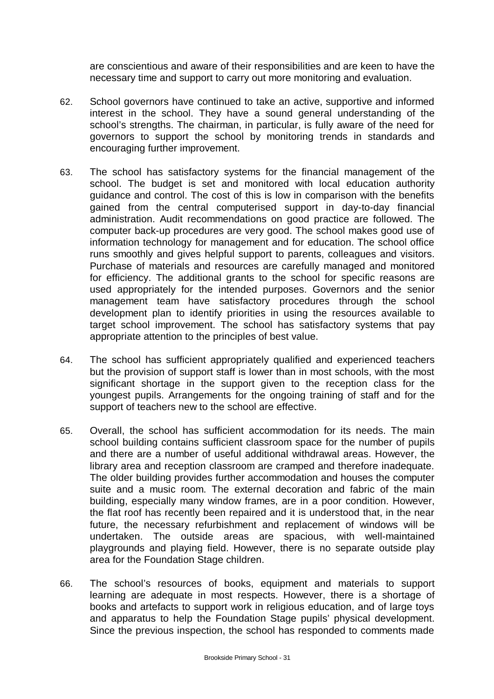are conscientious and aware of their responsibilities and are keen to have the necessary time and support to carry out more monitoring and evaluation.

- 62. School governors have continued to take an active, supportive and informed interest in the school. They have a sound general understanding of the school's strengths. The chairman, in particular, is fully aware of the need for governors to support the school by monitoring trends in standards and encouraging further improvement.
- 63. The school has satisfactory systems for the financial management of the school. The budget is set and monitored with local education authority guidance and control. The cost of this is low in comparison with the benefits gained from the central computerised support in day-to-day financial administration. Audit recommendations on good practice are followed. The computer back-up procedures are very good. The school makes good use of information technology for management and for education. The school office runs smoothly and gives helpful support to parents, colleagues and visitors. Purchase of materials and resources are carefully managed and monitored for efficiency. The additional grants to the school for specific reasons are used appropriately for the intended purposes. Governors and the senior management team have satisfactory procedures through the school development plan to identify priorities in using the resources available to target school improvement. The school has satisfactory systems that pay appropriate attention to the principles of best value.
- 64. The school has sufficient appropriately qualified and experienced teachers but the provision of support staff is lower than in most schools, with the most significant shortage in the support given to the reception class for the youngest pupils. Arrangements for the ongoing training of staff and for the support of teachers new to the school are effective.
- 65. Overall, the school has sufficient accommodation for its needs. The main school building contains sufficient classroom space for the number of pupils and there are a number of useful additional withdrawal areas. However, the library area and reception classroom are cramped and therefore inadequate. The older building provides further accommodation and houses the computer suite and a music room. The external decoration and fabric of the main building, especially many window frames, are in a poor condition. However, the flat roof has recently been repaired and it is understood that, in the near future, the necessary refurbishment and replacement of windows will be undertaken. The outside areas are spacious, with well-maintained playgrounds and playing field. However, there is no separate outside play area for the Foundation Stage children.
- 66. The school's resources of books, equipment and materials to support learning are adequate in most respects. However, there is a shortage of books and artefacts to support work in religious education, and of large toys and apparatus to help the Foundation Stage pupils' physical development. Since the previous inspection, the school has responded to comments made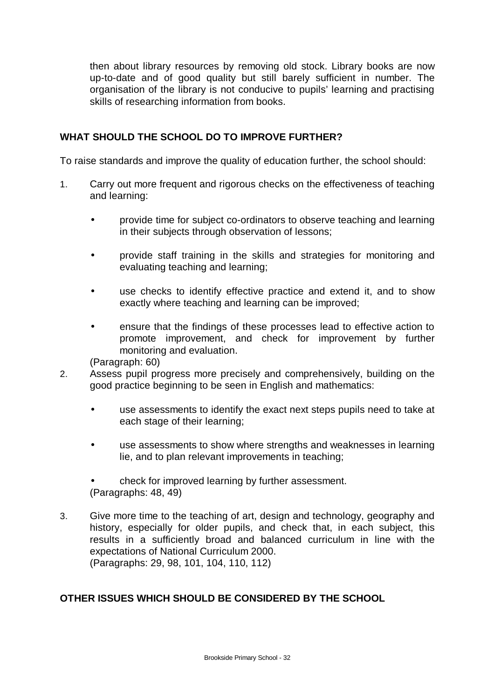then about library resources by removing old stock. Library books are now up-to-date and of good quality but still barely sufficient in number. The organisation of the library is not conducive to pupils' learning and practising skills of researching information from books.

# **WHAT SHOULD THE SCHOOL DO TO IMPROVE FURTHER?**

To raise standards and improve the quality of education further, the school should:

- 1. Carry out more frequent and rigorous checks on the effectiveness of teaching and learning:
	- provide time for subject co-ordinators to observe teaching and learning in their subjects through observation of lessons;
	- provide staff training in the skills and strategies for monitoring and evaluating teaching and learning;
	- use checks to identify effective practice and extend it, and to show exactly where teaching and learning can be improved;
	- ensure that the findings of these processes lead to effective action to promote improvement, and check for improvement by further monitoring and evaluation.

(Paragraph: 60)

- 2. Assess pupil progress more precisely and comprehensively, building on the good practice beginning to be seen in English and mathematics:
	- use assessments to identify the exact next steps pupils need to take at each stage of their learning;
	- use assessments to show where strengths and weaknesses in learning lie, and to plan relevant improvements in teaching;
	- check for improved learning by further assessment. (Paragraphs: 48, 49)
- 3. Give more time to the teaching of art, design and technology, geography and history, especially for older pupils, and check that, in each subject, this results in a sufficiently broad and balanced curriculum in line with the expectations of National Curriculum 2000. (Paragraphs: 29, 98, 101, 104, 110, 112)

### **OTHER ISSUES WHICH SHOULD BE CONSIDERED BY THE SCHOOL**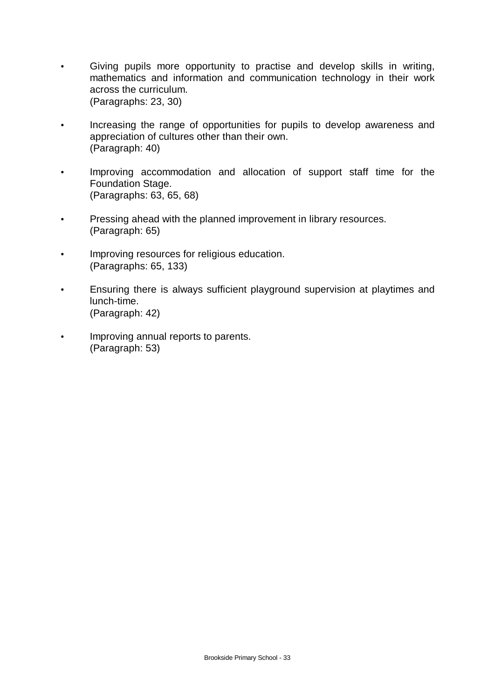- Giving pupils more opportunity to practise and develop skills in writing, mathematics and information and communication technology in their work across the curriculum. (Paragraphs: 23, 30)
- Increasing the range of opportunities for pupils to develop awareness and appreciation of cultures other than their own. (Paragraph: 40)
- Improving accommodation and allocation of support staff time for the Foundation Stage. (Paragraphs: 63, 65, 68)
- Pressing ahead with the planned improvement in library resources. (Paragraph: 65)
- Improving resources for religious education. (Paragraphs: 65, 133)
- Ensuring there is always sufficient playground supervision at playtimes and lunch-time. (Paragraph: 42)
- Improving annual reports to parents. (Paragraph: 53)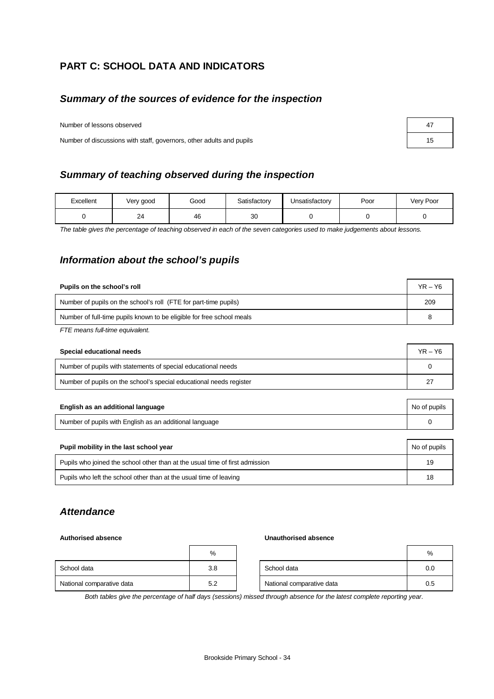# **PART C: SCHOOL DATA AND INDICATORS**

## *Summary of the sources of evidence for the inspection*

Number of lessons observed **47** and 47 and 47 and 47 and 47 and 47 and 47 and 47 and 47 and 47 and 47 and 47 and 47 and 47 and 47 and 47 and 47 and 47 and 47 and 47 and 47 and 47 and 47 and 47 and 47 and 47 and 47 and 47 a

Number of discussions with staff, governors, other adults and pupils 15

### *Summary of teaching observed during the inspection*

| Excellent | Very good | Good | Satisfactory | Unsatisfactory | Poor | Very Poor |
|-----------|-----------|------|--------------|----------------|------|-----------|
|           | 24        | 46   | 30           |                |      |           |

*The table gives the percentage of teaching observed in each of the seven categories used to make judgements about lessons.*

# *Information about the school's pupils*

| Pupils on the school's roll                                           | $YR - Y6$ |
|-----------------------------------------------------------------------|-----------|
| Number of pupils on the school's roll (FTE for part-time pupils)      | 209       |
| Number of full-time pupils known to be eligible for free school meals | 8         |
| $ETE$ moone full time oquivalent                                      |           |

*FTE means full-time equivalent.*

| Special educational needs                                           |    |  |  |
|---------------------------------------------------------------------|----|--|--|
| Number of pupils with statements of special educational needs       |    |  |  |
| Number of pupils on the school's special educational needs register | 27 |  |  |

| English as an additional language                       | No of pupils |
|---------------------------------------------------------|--------------|
| Number of pupils with English as an additional language |              |

| Pupil mobility in the last school year                                       | No of pupils |
|------------------------------------------------------------------------------|--------------|
| Pupils who joined the school other than at the usual time of first admission | 19           |
| Pupils who left the school other than at the usual time of leaving           | 18           |

### *Attendance*

#### **Authorised absence Unauthorised absence**

|                           | %   |                           | %   |
|---------------------------|-----|---------------------------|-----|
| School data               | 3.8 | School data               | 0.0 |
| National comparative data | 5.2 | National comparative data | 0.5 |

*Both tables give the percentage of half days (sessions) missed through absence for the latest complete reporting year.*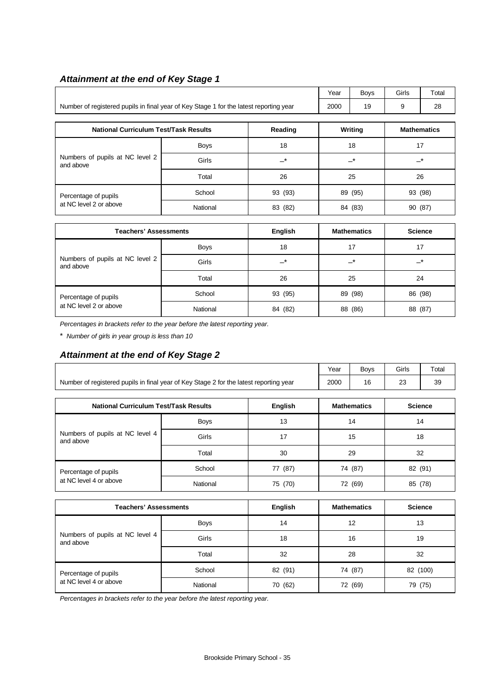## *Attainment at the end of Key Stage 1*

|                                                                                        | Year | <b>Bovs</b> | Girls | Total |
|----------------------------------------------------------------------------------------|------|-------------|-------|-------|
| Number of registered pupils in final year of Key Stage 1 for the latest reporting year | 2000 |             |       | 28    |

| <b>National Curriculum Test/Task Results</b> |             | Reading | Writing | <b>Mathematics</b> |
|----------------------------------------------|-------------|---------|---------|--------------------|
|                                              | <b>Boys</b> | 18      | 18      | 17                 |
| Numbers of pupils at NC level 2<br>and above | Girls       | *       | $-^*$   | $-^*$              |
|                                              | Total       | 26      | 25      | 26                 |
| Percentage of pupils                         | School      | 93 (93) | 89 (95) | 93 (98)            |
| at NC level 2 or above                       | National    | 83 (82) | 84 (83) | 90 (87)            |

| <b>Teachers' Assessments</b>                 |             | English     | <b>Mathematics</b> | <b>Science</b> |
|----------------------------------------------|-------------|-------------|--------------------|----------------|
|                                              | <b>Boys</b> | 18          | 17                 | 17             |
| Numbers of pupils at NC level 2<br>and above | Girls       | $-^{\star}$ | _*                 | _*             |
|                                              | Total       | 26          | 25                 | 24             |
| Percentage of pupils                         | School      | 93 (95)     | 89 (98)            | 86 (98)        |
| at NC level 2 or above                       | National    | 84 (82)     | (86)<br>88         | 88 (87)        |

*Percentages in brackets refer to the year before the latest reporting year.*

\* *Number of girls in year group is less than 10* 

## *Attainment at the end of Key Stage 2*

|                                                                                        | Year | <b>Bovs</b> | Girls    | Total |
|----------------------------------------------------------------------------------------|------|-------------|----------|-------|
| Number of registered pupils in final year of Key Stage 2 for the latest reporting year | 2000 | 16          | $\Omega$ |       |

| <b>National Curriculum Test/Task Results</b> |             | English | <b>Mathematics</b> | <b>Science</b> |
|----------------------------------------------|-------------|---------|--------------------|----------------|
| Numbers of pupils at NC level 4<br>and above | <b>Boys</b> | 13      | 14                 | 14             |
|                                              | Girls       | 17      | 15                 | 18             |
|                                              | Total       | 30      | 29                 | 32             |
| Percentage of pupils                         | School      | 77 (87) | 74 (87)            | 82 (91)        |
| at NC level 4 or above                       | National    | 75 (70) | (69)<br>72         | 85 (78)        |

| <b>Teachers' Assessments</b>                 |             | English | <b>Mathematics</b> | <b>Science</b> |
|----------------------------------------------|-------------|---------|--------------------|----------------|
|                                              | <b>Boys</b> | 14      | 12                 | 13             |
| Numbers of pupils at NC level 4<br>and above | Girls       | 18      | 16                 | 19             |
|                                              | Total       | 32      | 28                 | 32             |
| Percentage of pupils                         | School      | 82 (91) | 74 (87)            | 82 (100)       |
| at NC level 4 or above                       | National    | 70 (62) | 72 (69)            | 79 (75)        |

*Percentages in brackets refer to the year before the latest reporting year.*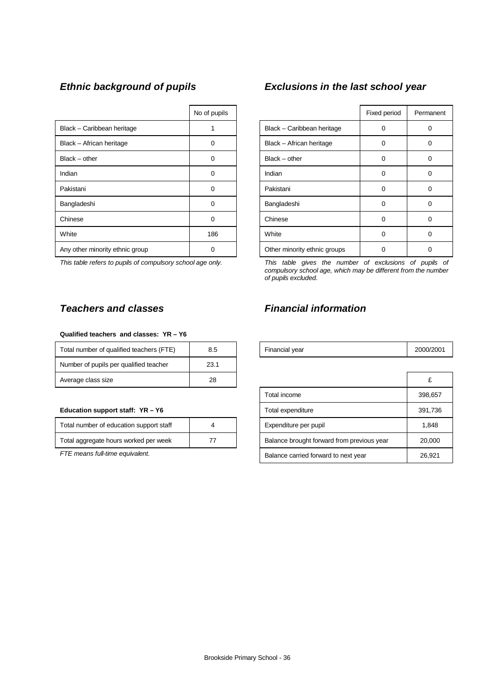|                                 | No of pupils |                              | Fixed period | Perma |
|---------------------------------|--------------|------------------------------|--------------|-------|
| Black - Caribbean heritage      |              | Black - Caribbean heritage   | 0            | 0     |
| Black - African heritage        | 0            | Black - African heritage     | 0            | 0     |
| $Black - other$                 | 0            | $Black - other$              | 0            | 0     |
| Indian                          | 0            | Indian                       | $\Omega$     | 0     |
| Pakistani                       | $\Omega$     | Pakistani                    | 0            | 0     |
| Bangladeshi                     | $\Omega$     | Bangladeshi                  | $\Omega$     | 0     |
| Chinese                         | $\Omega$     | Chinese                      | 0            | 0     |
| White                           | 186          | White                        | 0            | 0     |
| Any other minority ethnic group | O            | Other minority ethnic groups | 0            | 0     |

#### **Qualified teachers and classes: YR – Y6**

| Total number of qualified teachers (FTE) | 8.5  | Financial year | 2000/ |
|------------------------------------------|------|----------------|-------|
| Number of pupils per qualified teacher   | 23.1 |                |       |
| Average class size                       | 28   |                |       |

#### **Education support staff: YR - Y6**

| Total number of education support staff |  |
|-----------------------------------------|--|
| Total aggregate hours worked per week   |  |

# *Ethnic background of pupils Exclusions in the last school year*

| No of pupils |                              | Fixed period | Permanent |
|--------------|------------------------------|--------------|-----------|
|              | Black - Caribbean heritage   | 0            | 0         |
| ი            | Black - African heritage     | 0            | Ω         |
| 0            | $Black - other$              | 0            | 0         |
| 0            | Indian                       | 0            | 0         |
| 0            | Pakistani                    | $\Omega$     | o         |
| ი            | Bangladeshi                  | 0            | 0         |
| O            | Chinese                      | 0            | 0         |
| 186          | White                        | 0            | O)        |
|              | Other minority ethnic groups |              |           |

*This table refers to pupils of compulsory school age only. This table gives the number of exclusions of pupils of compulsory school age, which may be different from the number of pupils excluded.*

# *Teachers and classes Financial information*

| Total number of qualified teachers (FTE) | <b>Financial vear</b> |  |
|------------------------------------------|-----------------------|--|
|                                          |                       |  |

| Average class size                      | 28 |                                            |         |
|-----------------------------------------|----|--------------------------------------------|---------|
|                                         |    | Total income                               | 398,657 |
| Education support staff: YR - Y6        |    | Total expenditure                          | 391,736 |
| Total number of education support staff | 4  | Expenditure per pupil                      | 1,848   |
| Total aggregate hours worked per week   | 77 | Balance brought forward from previous year | 20,000  |
| FTE means full-time equivalent.         |    | Balance carried forward to next year       | 26,921  |
|                                         |    |                                            |         |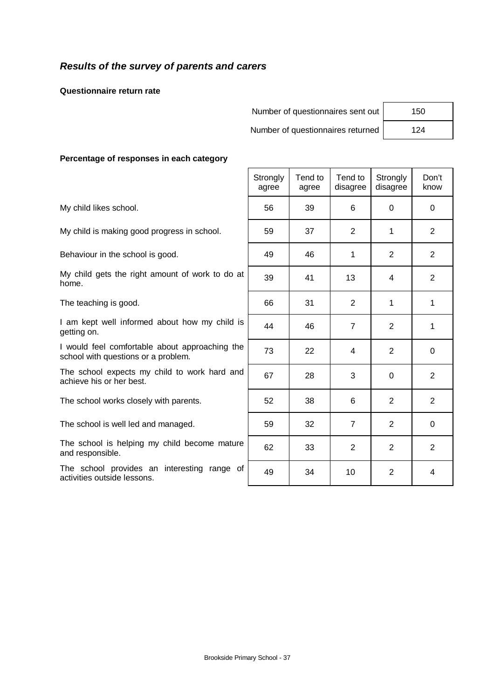# *Results of the survey of parents and carers*

**Questionnaire return rate**

| Number of questionnaires sent out | 150 |
|-----------------------------------|-----|
| Number of questionnaires returned | 124 |

 $\overline{1}$  and  $\overline{1}$  and  $\overline{1}$  and  $\overline{1}$  and  $\overline{1}$  and  $\overline{1}$  and  $\overline{1}$  and  $\overline{1}$  and  $\overline{1}$  and  $\overline{1}$  and  $\overline{1}$  and  $\overline{1}$  and  $\overline{1}$  and  $\overline{1}$  and  $\overline{1}$  and  $\overline{1}$  and  $\overline{1}$  and

| 150 |  |
|-----|--|
| 124 |  |

 $\overline{\phantom{a}}$ 

 $\overline{\phantom{0}}$ 

#### **Percentage of responses in each category**

| 6              | $\Omega$       | 0              |
|----------------|----------------|----------------|
| $\overline{2}$ | 1              | 2              |
| 1              | $\overline{2}$ | 2              |
| 13             | 4              | $\overline{2}$ |
| $\overline{2}$ | 1              | 1              |
| $\overline{7}$ | $\overline{2}$ | 1              |
| 4              | $\overline{2}$ | 0              |
| 3              | $\Omega$       | $\overline{2}$ |
| 6              | $\overline{2}$ | $\overline{2}$ |
| $\overline{7}$ | $\overline{2}$ | $\Omega$       |
| $\overline{2}$ | $\overline{2}$ | 2              |
| 10             | $\overline{2}$ | 4              |
|                |                |                |

 $\Box$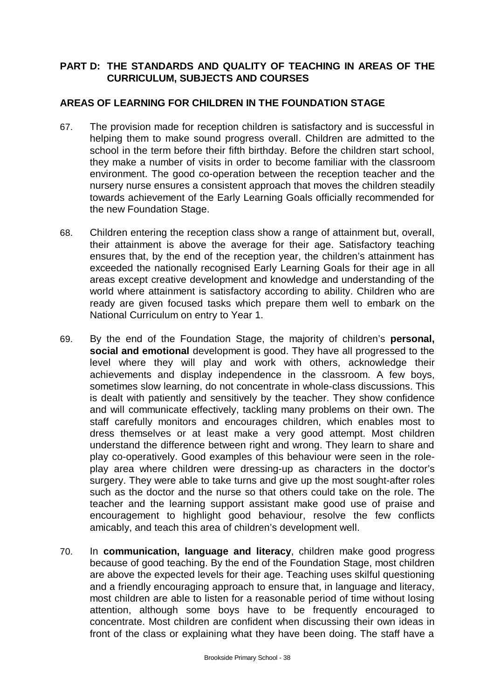# **PART D: THE STANDARDS AND QUALITY OF TEACHING IN AREAS OF THE CURRICULUM, SUBJECTS AND COURSES**

## **AREAS OF LEARNING FOR CHILDREN IN THE FOUNDATION STAGE**

- 67. The provision made for reception children is satisfactory and is successful in helping them to make sound progress overall. Children are admitted to the school in the term before their fifth birthday. Before the children start school, they make a number of visits in order to become familiar with the classroom environment. The good co-operation between the reception teacher and the nursery nurse ensures a consistent approach that moves the children steadily towards achievement of the Early Learning Goals officially recommended for the new Foundation Stage.
- 68. Children entering the reception class show a range of attainment but, overall, their attainment is above the average for their age. Satisfactory teaching ensures that, by the end of the reception year, the children's attainment has exceeded the nationally recognised Early Learning Goals for their age in all areas except creative development and knowledge and understanding of the world where attainment is satisfactory according to ability. Children who are ready are given focused tasks which prepare them well to embark on the National Curriculum on entry to Year 1.
- 69. By the end of the Foundation Stage, the majority of children's **personal, social and emotional** development is good. They have all progressed to the level where they will play and work with others, acknowledge their achievements and display independence in the classroom. A few boys, sometimes slow learning, do not concentrate in whole-class discussions. This is dealt with patiently and sensitively by the teacher. They show confidence and will communicate effectively, tackling many problems on their own. The staff carefully monitors and encourages children, which enables most to dress themselves or at least make a very good attempt. Most children understand the difference between right and wrong. They learn to share and play co-operatively. Good examples of this behaviour were seen in the roleplay area where children were dressing-up as characters in the doctor's surgery. They were able to take turns and give up the most sought-after roles such as the doctor and the nurse so that others could take on the role. The teacher and the learning support assistant make good use of praise and encouragement to highlight good behaviour, resolve the few conflicts amicably, and teach this area of children's development well.
- 70. In **communication, language and literacy**, children make good progress because of good teaching. By the end of the Foundation Stage, most children are above the expected levels for their age. Teaching uses skilful questioning and a friendly encouraging approach to ensure that, in language and literacy, most children are able to listen for a reasonable period of time without losing attention, although some boys have to be frequently encouraged to concentrate. Most children are confident when discussing their own ideas in front of the class or explaining what they have been doing. The staff have a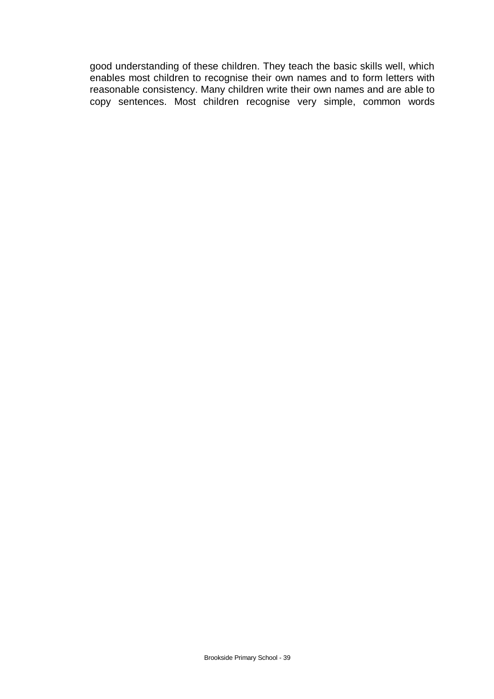good understanding of these children. They teach the basic skills well, which enables most children to recognise their own names and to form letters with reasonable consistency. Many children write their own names and are able to copy sentences. Most children recognise very simple, common words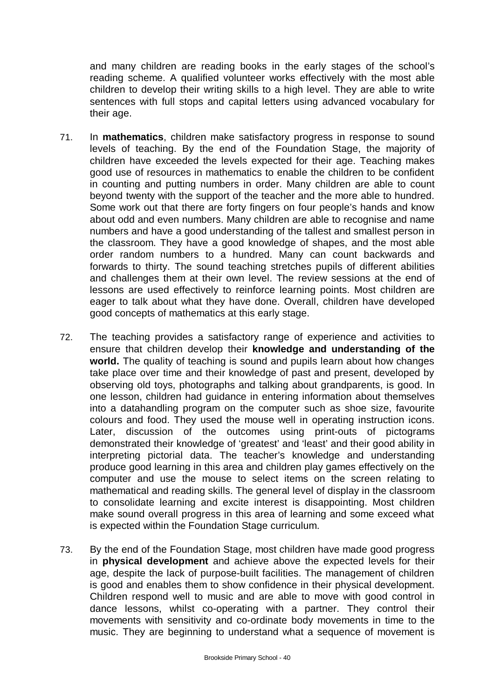and many children are reading books in the early stages of the school's reading scheme. A qualified volunteer works effectively with the most able children to develop their writing skills to a high level. They are able to write sentences with full stops and capital letters using advanced vocabulary for their age.

- 71. In **mathematics**, children make satisfactory progress in response to sound levels of teaching. By the end of the Foundation Stage, the majority of children have exceeded the levels expected for their age. Teaching makes good use of resources in mathematics to enable the children to be confident in counting and putting numbers in order. Many children are able to count beyond twenty with the support of the teacher and the more able to hundred. Some work out that there are forty fingers on four people's hands and know about odd and even numbers. Many children are able to recognise and name numbers and have a good understanding of the tallest and smallest person in the classroom. They have a good knowledge of shapes, and the most able order random numbers to a hundred. Many can count backwards and forwards to thirty. The sound teaching stretches pupils of different abilities and challenges them at their own level. The review sessions at the end of lessons are used effectively to reinforce learning points. Most children are eager to talk about what they have done. Overall, children have developed good concepts of mathematics at this early stage.
- 72. The teaching provides a satisfactory range of experience and activities to ensure that children develop their **knowledge and understanding of the world.** The quality of teaching is sound and pupils learn about how changes take place over time and their knowledge of past and present, developed by observing old toys, photographs and talking about grandparents, is good. In one lesson, children had guidance in entering information about themselves into a datahandling program on the computer such as shoe size, favourite colours and food. They used the mouse well in operating instruction icons. Later, discussion of the outcomes using print-outs of pictograms demonstrated their knowledge of 'greatest' and 'least' and their good ability in interpreting pictorial data. The teacher's knowledge and understanding produce good learning in this area and children play games effectively on the computer and use the mouse to select items on the screen relating to mathematical and reading skills. The general level of display in the classroom to consolidate learning and excite interest is disappointing. Most children make sound overall progress in this area of learning and some exceed what is expected within the Foundation Stage curriculum.
- 73. By the end of the Foundation Stage, most children have made good progress in **physical development** and achieve above the expected levels for their age, despite the lack of purpose-built facilities. The management of children is good and enables them to show confidence in their physical development. Children respond well to music and are able to move with good control in dance lessons, whilst co-operating with a partner. They control their movements with sensitivity and co-ordinate body movements in time to the music. They are beginning to understand what a sequence of movement is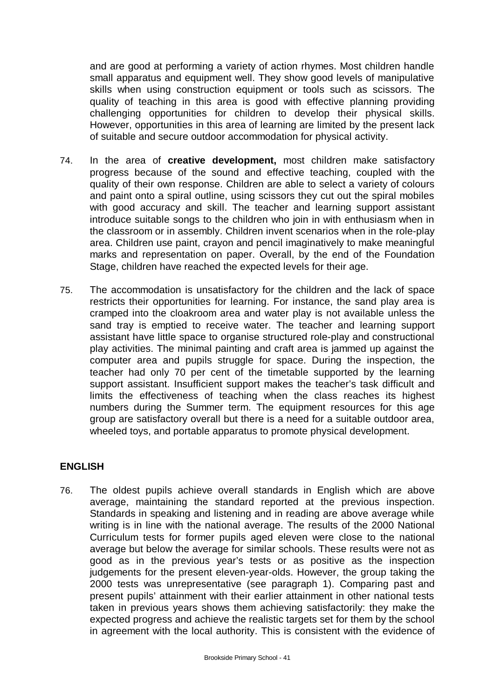and are good at performing a variety of action rhymes. Most children handle small apparatus and equipment well. They show good levels of manipulative skills when using construction equipment or tools such as scissors. The quality of teaching in this area is good with effective planning providing challenging opportunities for children to develop their physical skills. However, opportunities in this area of learning are limited by the present lack of suitable and secure outdoor accommodation for physical activity.

- 74. In the area of **creative development,** most children make satisfactory progress because of the sound and effective teaching, coupled with the quality of their own response. Children are able to select a variety of colours and paint onto a spiral outline, using scissors they cut out the spiral mobiles with good accuracy and skill. The teacher and learning support assistant introduce suitable songs to the children who join in with enthusiasm when in the classroom or in assembly. Children invent scenarios when in the role-play area. Children use paint, crayon and pencil imaginatively to make meaningful marks and representation on paper. Overall, by the end of the Foundation Stage, children have reached the expected levels for their age.
- 75. The accommodation is unsatisfactory for the children and the lack of space restricts their opportunities for learning. For instance, the sand play area is cramped into the cloakroom area and water play is not available unless the sand tray is emptied to receive water. The teacher and learning support assistant have little space to organise structured role-play and constructional play activities. The minimal painting and craft area is jammed up against the computer area and pupils struggle for space. During the inspection, the teacher had only 70 per cent of the timetable supported by the learning support assistant. Insufficient support makes the teacher's task difficult and limits the effectiveness of teaching when the class reaches its highest numbers during the Summer term. The equipment resources for this age group are satisfactory overall but there is a need for a suitable outdoor area, wheeled toys, and portable apparatus to promote physical development.

### **ENGLISH**

76. The oldest pupils achieve overall standards in English which are above average, maintaining the standard reported at the previous inspection. Standards in speaking and listening and in reading are above average while writing is in line with the national average. The results of the 2000 National Curriculum tests for former pupils aged eleven were close to the national average but below the average for similar schools. These results were not as good as in the previous year's tests or as positive as the inspection judgements for the present eleven-year-olds. However, the group taking the 2000 tests was unrepresentative (see paragraph 1). Comparing past and present pupils' attainment with their earlier attainment in other national tests taken in previous years shows them achieving satisfactorily: they make the expected progress and achieve the realistic targets set for them by the school in agreement with the local authority. This is consistent with the evidence of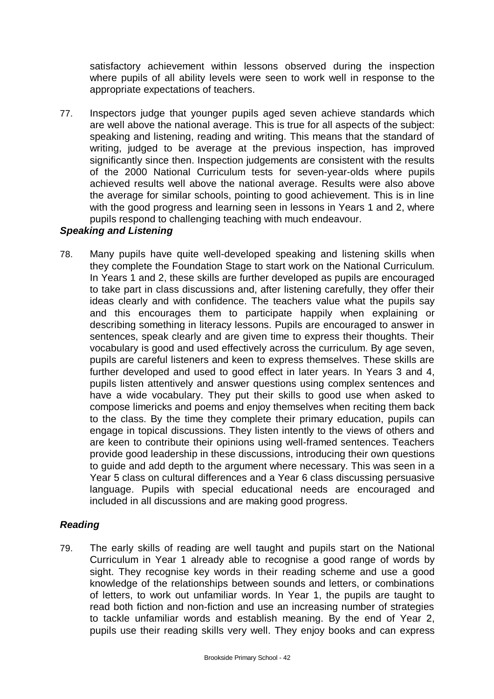satisfactory achievement within lessons observed during the inspection where pupils of all ability levels were seen to work well in response to the appropriate expectations of teachers.

77. Inspectors judge that younger pupils aged seven achieve standards which are well above the national average. This is true for all aspects of the subject: speaking and listening, reading and writing. This means that the standard of writing, judged to be average at the previous inspection, has improved significantly since then. Inspection judgements are consistent with the results of the 2000 National Curriculum tests for seven-year-olds where pupils achieved results well above the national average. Results were also above the average for similar schools, pointing to good achievement. This is in line with the good progress and learning seen in lessons in Years 1 and 2, where pupils respond to challenging teaching with much endeavour.

## *Speaking and Listening*

78. Many pupils have quite well-developed speaking and listening skills when they complete the Foundation Stage to start work on the National Curriculum. In Years 1 and 2, these skills are further developed as pupils are encouraged to take part in class discussions and, after listening carefully, they offer their ideas clearly and with confidence. The teachers value what the pupils say and this encourages them to participate happily when explaining or describing something in literacy lessons. Pupils are encouraged to answer in sentences, speak clearly and are given time to express their thoughts. Their vocabulary is good and used effectively across the curriculum. By age seven, pupils are careful listeners and keen to express themselves. These skills are further developed and used to good effect in later years. In Years 3 and 4, pupils listen attentively and answer questions using complex sentences and have a wide vocabulary. They put their skills to good use when asked to compose limericks and poems and enjoy themselves when reciting them back to the class. By the time they complete their primary education, pupils can engage in topical discussions. They listen intently to the views of others and are keen to contribute their opinions using well-framed sentences. Teachers provide good leadership in these discussions, introducing their own questions to guide and add depth to the argument where necessary. This was seen in a Year 5 class on cultural differences and a Year 6 class discussing persuasive language. Pupils with special educational needs are encouraged and included in all discussions and are making good progress.

### *Reading*

79. The early skills of reading are well taught and pupils start on the National Curriculum in Year 1 already able to recognise a good range of words by sight. They recognise key words in their reading scheme and use a good knowledge of the relationships between sounds and letters, or combinations of letters, to work out unfamiliar words. In Year 1, the pupils are taught to read both fiction and non-fiction and use an increasing number of strategies to tackle unfamiliar words and establish meaning. By the end of Year 2, pupils use their reading skills very well. They enjoy books and can express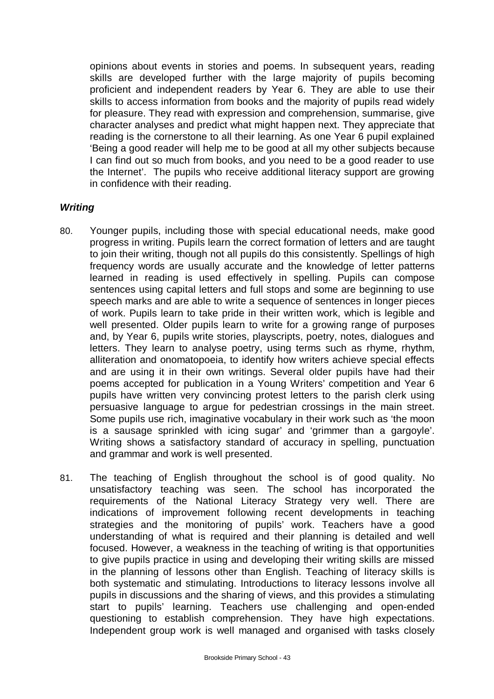opinions about events in stories and poems. In subsequent years, reading skills are developed further with the large majority of pupils becoming proficient and independent readers by Year 6. They are able to use their skills to access information from books and the majority of pupils read widely for pleasure. They read with expression and comprehension, summarise, give character analyses and predict what might happen next. They appreciate that reading is the cornerstone to all their learning. As one Year 6 pupil explained 'Being a good reader will help me to be good at all my other subjects because I can find out so much from books, and you need to be a good reader to use the Internet'. The pupils who receive additional literacy support are growing in confidence with their reading.

### *Writing*

- 80. Younger pupils, including those with special educational needs, make good progress in writing. Pupils learn the correct formation of letters and are taught to join their writing, though not all pupils do this consistently. Spellings of high frequency words are usually accurate and the knowledge of letter patterns learned in reading is used effectively in spelling. Pupils can compose sentences using capital letters and full stops and some are beginning to use speech marks and are able to write a sequence of sentences in longer pieces of work. Pupils learn to take pride in their written work, which is legible and well presented. Older pupils learn to write for a growing range of purposes and, by Year 6, pupils write stories, playscripts, poetry, notes, dialogues and letters. They learn to analyse poetry, using terms such as rhyme, rhythm, alliteration and onomatopoeia, to identify how writers achieve special effects and are using it in their own writings. Several older pupils have had their poems accepted for publication in a Young Writers' competition and Year 6 pupils have written very convincing protest letters to the parish clerk using persuasive language to argue for pedestrian crossings in the main street. Some pupils use rich, imaginative vocabulary in their work such as 'the moon is a sausage sprinkled with icing sugar' and 'grimmer than a gargoyle'. Writing shows a satisfactory standard of accuracy in spelling, punctuation and grammar and work is well presented.
- 81. The teaching of English throughout the school is of good quality. No unsatisfactory teaching was seen. The school has incorporated the requirements of the National Literacy Strategy very well. There are indications of improvement following recent developments in teaching strategies and the monitoring of pupils' work. Teachers have a good understanding of what is required and their planning is detailed and well focused. However, a weakness in the teaching of writing is that opportunities to give pupils practice in using and developing their writing skills are missed in the planning of lessons other than English. Teaching of literacy skills is both systematic and stimulating. Introductions to literacy lessons involve all pupils in discussions and the sharing of views, and this provides a stimulating start to pupils' learning. Teachers use challenging and open-ended questioning to establish comprehension. They have high expectations. Independent group work is well managed and organised with tasks closely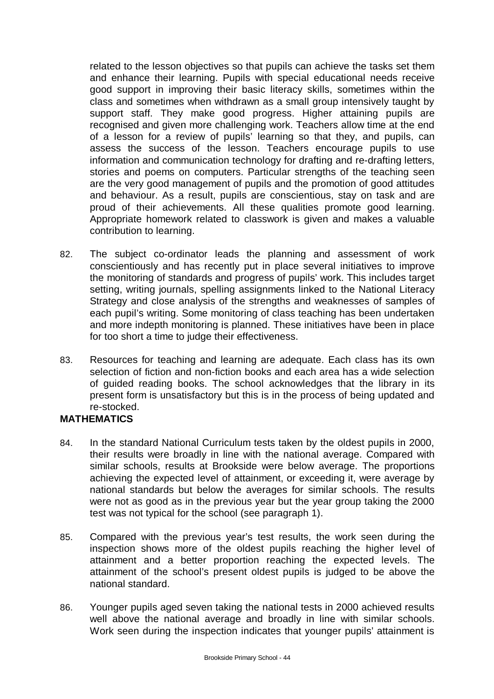related to the lesson objectives so that pupils can achieve the tasks set them and enhance their learning. Pupils with special educational needs receive good support in improving their basic literacy skills, sometimes within the class and sometimes when withdrawn as a small group intensively taught by support staff. They make good progress. Higher attaining pupils are recognised and given more challenging work. Teachers allow time at the end of a lesson for a review of pupils' learning so that they, and pupils, can assess the success of the lesson. Teachers encourage pupils to use information and communication technology for drafting and re-drafting letters, stories and poems on computers. Particular strengths of the teaching seen are the very good management of pupils and the promotion of good attitudes and behaviour. As a result, pupils are conscientious, stay on task and are proud of their achievements. All these qualities promote good learning. Appropriate homework related to classwork is given and makes a valuable contribution to learning.

- 82. The subject co-ordinator leads the planning and assessment of work conscientiously and has recently put in place several initiatives to improve the monitoring of standards and progress of pupils' work. This includes target setting, writing journals, spelling assignments linked to the National Literacy Strategy and close analysis of the strengths and weaknesses of samples of each pupil's writing. Some monitoring of class teaching has been undertaken and more indepth monitoring is planned. These initiatives have been in place for too short a time to judge their effectiveness.
- 83. Resources for teaching and learning are adequate. Each class has its own selection of fiction and non-fiction books and each area has a wide selection of guided reading books. The school acknowledges that the library in its present form is unsatisfactory but this is in the process of being updated and re-stocked.

### **MATHEMATICS**

- 84. In the standard National Curriculum tests taken by the oldest pupils in 2000, their results were broadly in line with the national average. Compared with similar schools, results at Brookside were below average. The proportions achieving the expected level of attainment, or exceeding it, were average by national standards but below the averages for similar schools. The results were not as good as in the previous year but the year group taking the 2000 test was not typical for the school (see paragraph 1).
- 85. Compared with the previous year's test results, the work seen during the inspection shows more of the oldest pupils reaching the higher level of attainment and a better proportion reaching the expected levels. The attainment of the school's present oldest pupils is judged to be above the national standard.
- 86. Younger pupils aged seven taking the national tests in 2000 achieved results well above the national average and broadly in line with similar schools. Work seen during the inspection indicates that younger pupils' attainment is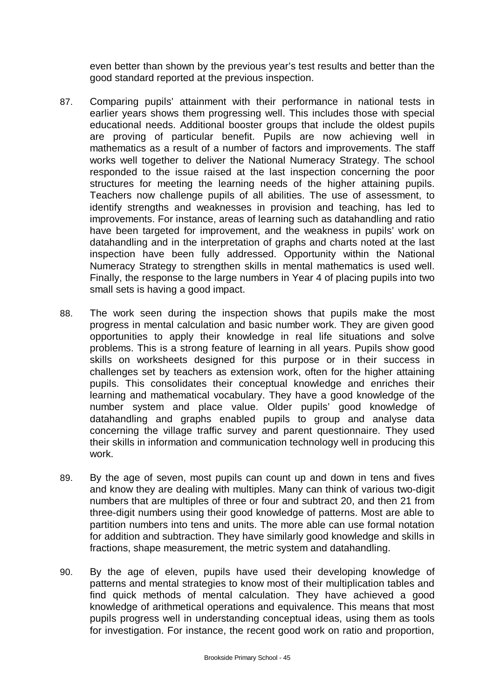even better than shown by the previous year's test results and better than the good standard reported at the previous inspection.

- 87. Comparing pupils' attainment with their performance in national tests in earlier years shows them progressing well. This includes those with special educational needs. Additional booster groups that include the oldest pupils are proving of particular benefit. Pupils are now achieving well in mathematics as a result of a number of factors and improvements. The staff works well together to deliver the National Numeracy Strategy. The school responded to the issue raised at the last inspection concerning the poor structures for meeting the learning needs of the higher attaining pupils. Teachers now challenge pupils of all abilities. The use of assessment, to identify strengths and weaknesses in provision and teaching, has led to improvements. For instance, areas of learning such as datahandling and ratio have been targeted for improvement, and the weakness in pupils' work on datahandling and in the interpretation of graphs and charts noted at the last inspection have been fully addressed. Opportunity within the National Numeracy Strategy to strengthen skills in mental mathematics is used well. Finally, the response to the large numbers in Year 4 of placing pupils into two small sets is having a good impact.
- 88. The work seen during the inspection shows that pupils make the most progress in mental calculation and basic number work. They are given good opportunities to apply their knowledge in real life situations and solve problems. This is a strong feature of learning in all years. Pupils show good skills on worksheets designed for this purpose or in their success in challenges set by teachers as extension work, often for the higher attaining pupils. This consolidates their conceptual knowledge and enriches their learning and mathematical vocabulary. They have a good knowledge of the number system and place value. Older pupils' good knowledge of datahandling and graphs enabled pupils to group and analyse data concerning the village traffic survey and parent questionnaire. They used their skills in information and communication technology well in producing this work.
- 89. By the age of seven, most pupils can count up and down in tens and fives and know they are dealing with multiples. Many can think of various two-digit numbers that are multiples of three or four and subtract 20, and then 21 from three-digit numbers using their good knowledge of patterns. Most are able to partition numbers into tens and units. The more able can use formal notation for addition and subtraction. They have similarly good knowledge and skills in fractions, shape measurement, the metric system and datahandling.
- 90. By the age of eleven, pupils have used their developing knowledge of patterns and mental strategies to know most of their multiplication tables and find quick methods of mental calculation. They have achieved a good knowledge of arithmetical operations and equivalence. This means that most pupils progress well in understanding conceptual ideas, using them as tools for investigation. For instance, the recent good work on ratio and proportion,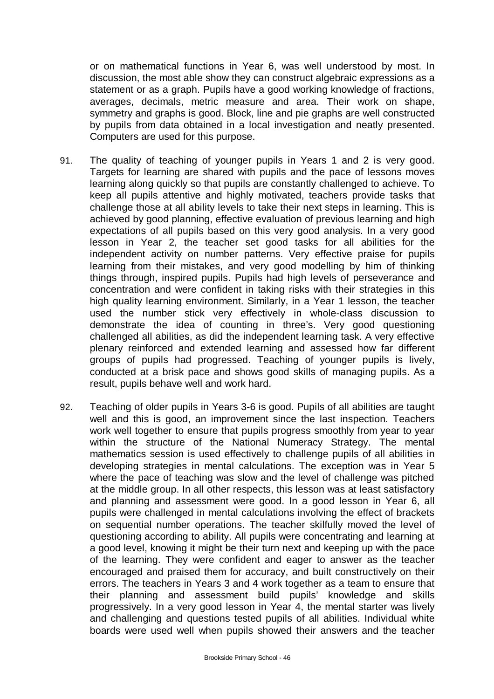or on mathematical functions in Year 6, was well understood by most. In discussion, the most able show they can construct algebraic expressions as a statement or as a graph. Pupils have a good working knowledge of fractions, averages, decimals, metric measure and area. Their work on shape, symmetry and graphs is good. Block, line and pie graphs are well constructed by pupils from data obtained in a local investigation and neatly presented. Computers are used for this purpose.

- 91. The quality of teaching of younger pupils in Years 1 and 2 is very good. Targets for learning are shared with pupils and the pace of lessons moves learning along quickly so that pupils are constantly challenged to achieve. To keep all pupils attentive and highly motivated, teachers provide tasks that challenge those at all ability levels to take their next steps in learning. This is achieved by good planning, effective evaluation of previous learning and high expectations of all pupils based on this very good analysis. In a very good lesson in Year 2, the teacher set good tasks for all abilities for the independent activity on number patterns. Very effective praise for pupils learning from their mistakes, and very good modelling by him of thinking things through, inspired pupils. Pupils had high levels of perseverance and concentration and were confident in taking risks with their strategies in this high quality learning environment. Similarly, in a Year 1 lesson, the teacher used the number stick very effectively in whole-class discussion to demonstrate the idea of counting in three's. Very good questioning challenged all abilities, as did the independent learning task. A very effective plenary reinforced and extended learning and assessed how far different groups of pupils had progressed. Teaching of younger pupils is lively, conducted at a brisk pace and shows good skills of managing pupils. As a result, pupils behave well and work hard.
- 92. Teaching of older pupils in Years 3-6 is good. Pupils of all abilities are taught well and this is good, an improvement since the last inspection. Teachers work well together to ensure that pupils progress smoothly from year to year within the structure of the National Numeracy Strategy. The mental mathematics session is used effectively to challenge pupils of all abilities in developing strategies in mental calculations. The exception was in Year 5 where the pace of teaching was slow and the level of challenge was pitched at the middle group. In all other respects, this lesson was at least satisfactory and planning and assessment were good. In a good lesson in Year 6, all pupils were challenged in mental calculations involving the effect of brackets on sequential number operations. The teacher skilfully moved the level of questioning according to ability. All pupils were concentrating and learning at a good level, knowing it might be their turn next and keeping up with the pace of the learning. They were confident and eager to answer as the teacher encouraged and praised them for accuracy, and built constructively on their errors. The teachers in Years 3 and 4 work together as a team to ensure that their planning and assessment build pupils' knowledge and skills progressively. In a very good lesson in Year 4, the mental starter was lively and challenging and questions tested pupils of all abilities. Individual white boards were used well when pupils showed their answers and the teacher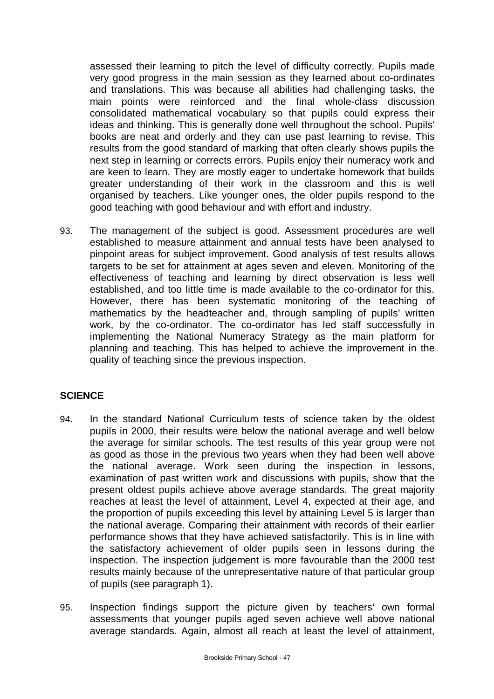assessed their learning to pitch the level of difficulty correctly. Pupils made very good progress in the main session as they learned about co-ordinates and translations. This was because all abilities had challenging tasks, the main points were reinforced and the final whole-class discussion consolidated mathematical vocabulary so that pupils could express their ideas and thinking. This is generally done well throughout the school. Pupils' books are neat and orderly and they can use past learning to revise. This results from the good standard of marking that often clearly shows pupils the next step in learning or corrects errors. Pupils enjoy their numeracy work and are keen to learn. They are mostly eager to undertake homework that builds greater understanding of their work in the classroom and this is well organised by teachers. Like younger ones, the older pupils respond to the good teaching with good behaviour and with effort and industry.

93. The management of the subject is good. Assessment procedures are well established to measure attainment and annual tests have been analysed to pinpoint areas for subject improvement. Good analysis of test results allows targets to be set for attainment at ages seven and eleven. Monitoring of the effectiveness of teaching and learning by direct observation is less well established, and too little time is made available to the co-ordinator for this. However, there has been systematic monitoring of the teaching of mathematics by the headteacher and, through sampling of pupils' written work, by the co-ordinator. The co-ordinator has led staff successfully in implementing the National Numeracy Strategy as the main platform for planning and teaching. This has helped to achieve the improvement in the quality of teaching since the previous inspection.

# **SCIENCE**

- 94. In the standard National Curriculum tests of science taken by the oldest pupils in 2000, their results were below the national average and well below the average for similar schools. The test results of this year group were not as good as those in the previous two years when they had been well above the national average. Work seen during the inspection in lessons, examination of past written work and discussions with pupils, show that the present oldest pupils achieve above average standards. The great majority reaches at least the level of attainment, Level 4, expected at their age, and the proportion of pupils exceeding this level by attaining Level 5 is larger than the national average. Comparing their attainment with records of their earlier performance shows that they have achieved satisfactorily. This is in line with the satisfactory achievement of older pupils seen in lessons during the inspection. The inspection judgement is more favourable than the 2000 test results mainly because of the unrepresentative nature of that particular group of pupils (see paragraph 1).
- 95. Inspection findings support the picture given by teachers' own formal assessments that younger pupils aged seven achieve well above national average standards. Again, almost all reach at least the level of attainment,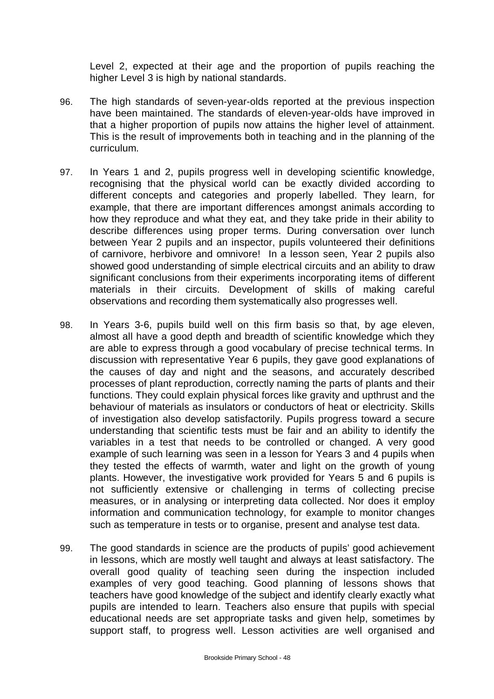Level 2, expected at their age and the proportion of pupils reaching the higher Level 3 is high by national standards.

- 96. The high standards of seven-year-olds reported at the previous inspection have been maintained. The standards of eleven-year-olds have improved in that a higher proportion of pupils now attains the higher level of attainment. This is the result of improvements both in teaching and in the planning of the curriculum.
- 97. In Years 1 and 2, pupils progress well in developing scientific knowledge, recognising that the physical world can be exactly divided according to different concepts and categories and properly labelled. They learn, for example, that there are important differences amongst animals according to how they reproduce and what they eat, and they take pride in their ability to describe differences using proper terms. During conversation over lunch between Year 2 pupils and an inspector, pupils volunteered their definitions of carnivore, herbivore and omnivore! In a lesson seen, Year 2 pupils also showed good understanding of simple electrical circuits and an ability to draw significant conclusions from their experiments incorporating items of different materials in their circuits. Development of skills of making careful observations and recording them systematically also progresses well.
- 98. In Years 3-6, pupils build well on this firm basis so that, by age eleven, almost all have a good depth and breadth of scientific knowledge which they are able to express through a good vocabulary of precise technical terms. In discussion with representative Year 6 pupils, they gave good explanations of the causes of day and night and the seasons, and accurately described processes of plant reproduction, correctly naming the parts of plants and their functions. They could explain physical forces like gravity and upthrust and the behaviour of materials as insulators or conductors of heat or electricity. Skills of investigation also develop satisfactorily. Pupils progress toward a secure understanding that scientific tests must be fair and an ability to identify the variables in a test that needs to be controlled or changed. A very good example of such learning was seen in a lesson for Years 3 and 4 pupils when they tested the effects of warmth, water and light on the growth of young plants. However, the investigative work provided for Years 5 and 6 pupils is not sufficiently extensive or challenging in terms of collecting precise measures, or in analysing or interpreting data collected. Nor does it employ information and communication technology, for example to monitor changes such as temperature in tests or to organise, present and analyse test data.
- 99. The good standards in science are the products of pupils' good achievement in lessons, which are mostly well taught and always at least satisfactory. The overall good quality of teaching seen during the inspection included examples of very good teaching. Good planning of lessons shows that teachers have good knowledge of the subject and identify clearly exactly what pupils are intended to learn. Teachers also ensure that pupils with special educational needs are set appropriate tasks and given help, sometimes by support staff, to progress well. Lesson activities are well organised and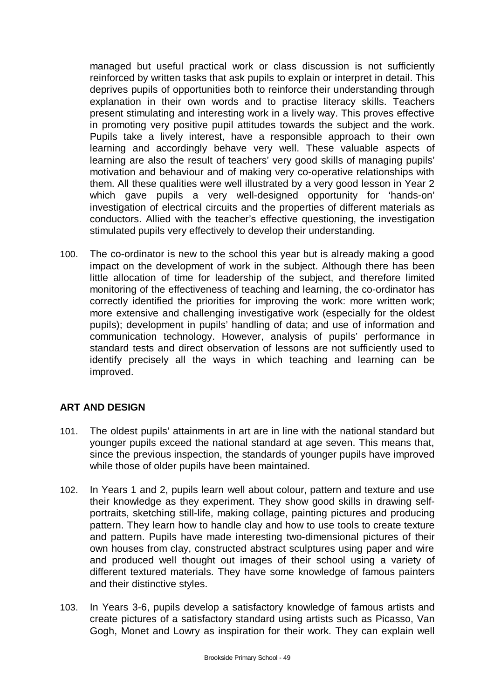managed but useful practical work or class discussion is not sufficiently reinforced by written tasks that ask pupils to explain or interpret in detail. This deprives pupils of opportunities both to reinforce their understanding through explanation in their own words and to practise literacy skills. Teachers present stimulating and interesting work in a lively way. This proves effective in promoting very positive pupil attitudes towards the subject and the work. Pupils take a lively interest, have a responsible approach to their own learning and accordingly behave very well. These valuable aspects of learning are also the result of teachers' very good skills of managing pupils' motivation and behaviour and of making very co-operative relationships with them. All these qualities were well illustrated by a very good lesson in Year 2 which gave pupils a very well-designed opportunity for 'hands-on' investigation of electrical circuits and the properties of different materials as conductors. Allied with the teacher's effective questioning, the investigation stimulated pupils very effectively to develop their understanding.

100. The co-ordinator is new to the school this year but is already making a good impact on the development of work in the subject. Although there has been little allocation of time for leadership of the subject, and therefore limited monitoring of the effectiveness of teaching and learning, the co-ordinator has correctly identified the priorities for improving the work: more written work; more extensive and challenging investigative work (especially for the oldest pupils); development in pupils' handling of data; and use of information and communication technology. However, analysis of pupils' performance in standard tests and direct observation of lessons are not sufficiently used to identify precisely all the ways in which teaching and learning can be improved.

# **ART AND DESIGN**

- 101. The oldest pupils' attainments in art are in line with the national standard but younger pupils exceed the national standard at age seven. This means that, since the previous inspection, the standards of younger pupils have improved while those of older pupils have been maintained.
- 102. In Years 1 and 2, pupils learn well about colour, pattern and texture and use their knowledge as they experiment. They show good skills in drawing selfportraits, sketching still-life, making collage, painting pictures and producing pattern. They learn how to handle clay and how to use tools to create texture and pattern. Pupils have made interesting two-dimensional pictures of their own houses from clay, constructed abstract sculptures using paper and wire and produced well thought out images of their school using a variety of different textured materials. They have some knowledge of famous painters and their distinctive styles.
- 103. In Years 3-6, pupils develop a satisfactory knowledge of famous artists and create pictures of a satisfactory standard using artists such as Picasso, Van Gogh, Monet and Lowry as inspiration for their work. They can explain well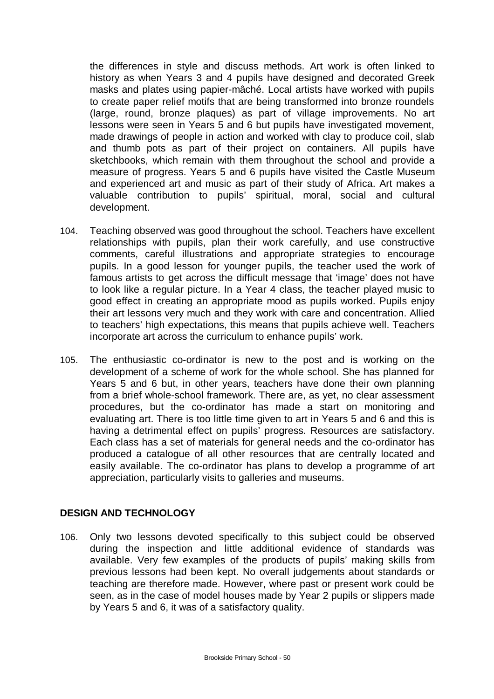the differences in style and discuss methods. Art work is often linked to history as when Years 3 and 4 pupils have designed and decorated Greek masks and plates using papier-mâché. Local artists have worked with pupils to create paper relief motifs that are being transformed into bronze roundels (large, round, bronze plaques) as part of village improvements. No art lessons were seen in Years 5 and 6 but pupils have investigated movement, made drawings of people in action and worked with clay to produce coil, slab and thumb pots as part of their project on containers. All pupils have sketchbooks, which remain with them throughout the school and provide a measure of progress. Years 5 and 6 pupils have visited the Castle Museum and experienced art and music as part of their study of Africa. Art makes a valuable contribution to pupils' spiritual, moral, social and cultural development.

- 104. Teaching observed was good throughout the school. Teachers have excellent relationships with pupils, plan their work carefully, and use constructive comments, careful illustrations and appropriate strategies to encourage pupils. In a good lesson for younger pupils, the teacher used the work of famous artists to get across the difficult message that 'image' does not have to look like a regular picture. In a Year 4 class, the teacher played music to good effect in creating an appropriate mood as pupils worked. Pupils enjoy their art lessons very much and they work with care and concentration. Allied to teachers' high expectations, this means that pupils achieve well. Teachers incorporate art across the curriculum to enhance pupils' work.
- 105. The enthusiastic co-ordinator is new to the post and is working on the development of a scheme of work for the whole school. She has planned for Years 5 and 6 but, in other years, teachers have done their own planning from a brief whole-school framework. There are, as yet, no clear assessment procedures, but the co-ordinator has made a start on monitoring and evaluating art. There is too little time given to art in Years 5 and 6 and this is having a detrimental effect on pupils' progress. Resources are satisfactory. Each class has a set of materials for general needs and the co-ordinator has produced a catalogue of all other resources that are centrally located and easily available. The co-ordinator has plans to develop a programme of art appreciation, particularly visits to galleries and museums.

### **DESIGN AND TECHNOLOGY**

106. Only two lessons devoted specifically to this subject could be observed during the inspection and little additional evidence of standards was available. Very few examples of the products of pupils' making skills from previous lessons had been kept. No overall judgements about standards or teaching are therefore made. However, where past or present work could be seen, as in the case of model houses made by Year 2 pupils or slippers made by Years 5 and 6, it was of a satisfactory quality.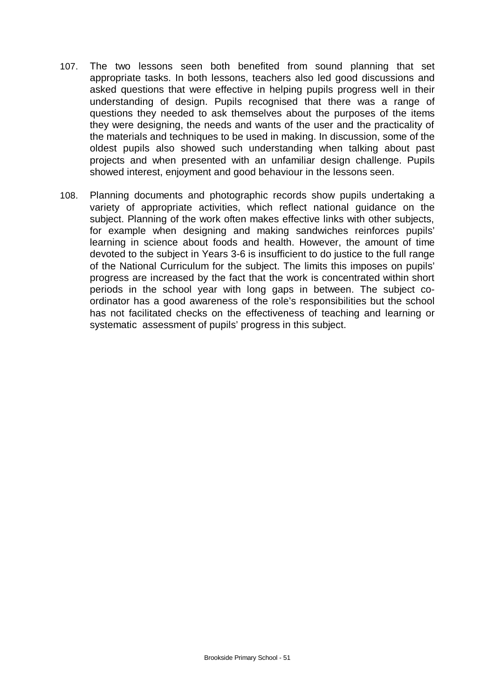- 107. The two lessons seen both benefited from sound planning that set appropriate tasks. In both lessons, teachers also led good discussions and asked questions that were effective in helping pupils progress well in their understanding of design. Pupils recognised that there was a range of questions they needed to ask themselves about the purposes of the items they were designing, the needs and wants of the user and the practicality of the materials and techniques to be used in making. In discussion, some of the oldest pupils also showed such understanding when talking about past projects and when presented with an unfamiliar design challenge. Pupils showed interest, enjoyment and good behaviour in the lessons seen.
- 108. Planning documents and photographic records show pupils undertaking a variety of appropriate activities, which reflect national guidance on the subject. Planning of the work often makes effective links with other subjects, for example when designing and making sandwiches reinforces pupils' learning in science about foods and health. However, the amount of time devoted to the subject in Years 3-6 is insufficient to do justice to the full range of the National Curriculum for the subject. The limits this imposes on pupils' progress are increased by the fact that the work is concentrated within short periods in the school year with long gaps in between. The subject coordinator has a good awareness of the role's responsibilities but the school has not facilitated checks on the effectiveness of teaching and learning or systematic assessment of pupils' progress in this subject.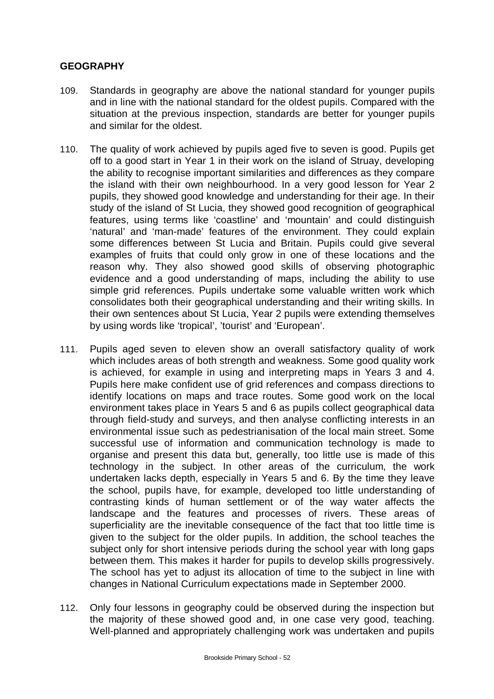# **GEOGRAPHY**

- 109. Standards in geography are above the national standard for younger pupils and in line with the national standard for the oldest pupils. Compared with the situation at the previous inspection, standards are better for younger pupils and similar for the oldest.
- 110. The quality of work achieved by pupils aged five to seven is good. Pupils get off to a good start in Year 1 in their work on the island of Struay, developing the ability to recognise important similarities and differences as they compare the island with their own neighbourhood. In a very good lesson for Year 2 pupils, they showed good knowledge and understanding for their age. In their study of the island of St Lucia, they showed good recognition of geographical features, using terms like 'coastline' and 'mountain' and could distinguish 'natural' and 'man-made' features of the environment. They could explain some differences between St Lucia and Britain. Pupils could give several examples of fruits that could only grow in one of these locations and the reason why. They also showed good skills of observing photographic evidence and a good understanding of maps, including the ability to use simple grid references. Pupils undertake some valuable written work which consolidates both their geographical understanding and their writing skills. In their own sentences about St Lucia, Year 2 pupils were extending themselves by using words like 'tropical', 'tourist' and 'European'.
- 111. Pupils aged seven to eleven show an overall satisfactory quality of work which includes areas of both strength and weakness. Some good quality work is achieved, for example in using and interpreting maps in Years 3 and 4. Pupils here make confident use of grid references and compass directions to identify locations on maps and trace routes. Some good work on the local environment takes place in Years 5 and 6 as pupils collect geographical data through field-study and surveys, and then analyse conflicting interests in an environmental issue such as pedestrianisation of the local main street. Some successful use of information and communication technology is made to organise and present this data but, generally, too little use is made of this technology in the subject. In other areas of the curriculum, the work undertaken lacks depth, especially in Years 5 and 6. By the time they leave the school, pupils have, for example, developed too little understanding of contrasting kinds of human settlement or of the way water affects the landscape and the features and processes of rivers. These areas of superficiality are the inevitable consequence of the fact that too little time is given to the subject for the older pupils. In addition, the school teaches the subject only for short intensive periods during the school year with long gaps between them. This makes it harder for pupils to develop skills progressively. The school has yet to adjust its allocation of time to the subject in line with changes in National Curriculum expectations made in September 2000.
- 112. Only four lessons in geography could be observed during the inspection but the majority of these showed good and, in one case very good, teaching. Well-planned and appropriately challenging work was undertaken and pupils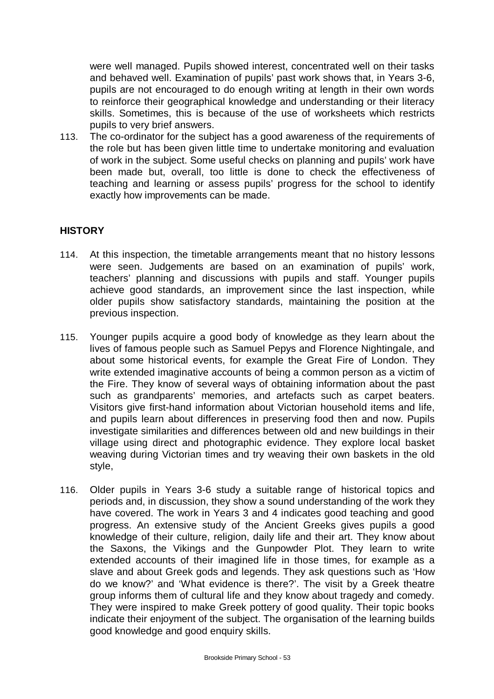were well managed. Pupils showed interest, concentrated well on their tasks and behaved well. Examination of pupils' past work shows that, in Years 3-6, pupils are not encouraged to do enough writing at length in their own words to reinforce their geographical knowledge and understanding or their literacy skills. Sometimes, this is because of the use of worksheets which restricts pupils to very brief answers.

113. The co-ordinator for the subject has a good awareness of the requirements of the role but has been given little time to undertake monitoring and evaluation of work in the subject. Some useful checks on planning and pupils' work have been made but, overall, too little is done to check the effectiveness of teaching and learning or assess pupils' progress for the school to identify exactly how improvements can be made.

## **HISTORY**

- 114. At this inspection, the timetable arrangements meant that no history lessons were seen. Judgements are based on an examination of pupils' work, teachers' planning and discussions with pupils and staff. Younger pupils achieve good standards, an improvement since the last inspection, while older pupils show satisfactory standards, maintaining the position at the previous inspection.
- 115. Younger pupils acquire a good body of knowledge as they learn about the lives of famous people such as Samuel Pepys and Florence Nightingale, and about some historical events, for example the Great Fire of London. They write extended imaginative accounts of being a common person as a victim of the Fire. They know of several ways of obtaining information about the past such as grandparents' memories, and artefacts such as carpet beaters. Visitors give first-hand information about Victorian household items and life, and pupils learn about differences in preserving food then and now. Pupils investigate similarities and differences between old and new buildings in their village using direct and photographic evidence. They explore local basket weaving during Victorian times and try weaving their own baskets in the old style,
- 116. Older pupils in Years 3-6 study a suitable range of historical topics and periods and, in discussion, they show a sound understanding of the work they have covered. The work in Years 3 and 4 indicates good teaching and good progress. An extensive study of the Ancient Greeks gives pupils a good knowledge of their culture, religion, daily life and their art. They know about the Saxons, the Vikings and the Gunpowder Plot. They learn to write extended accounts of their imagined life in those times, for example as a slave and about Greek gods and legends. They ask questions such as 'How do we know?' and 'What evidence is there?'. The visit by a Greek theatre group informs them of cultural life and they know about tragedy and comedy. They were inspired to make Greek pottery of good quality. Their topic books indicate their enjoyment of the subject. The organisation of the learning builds good knowledge and good enquiry skills.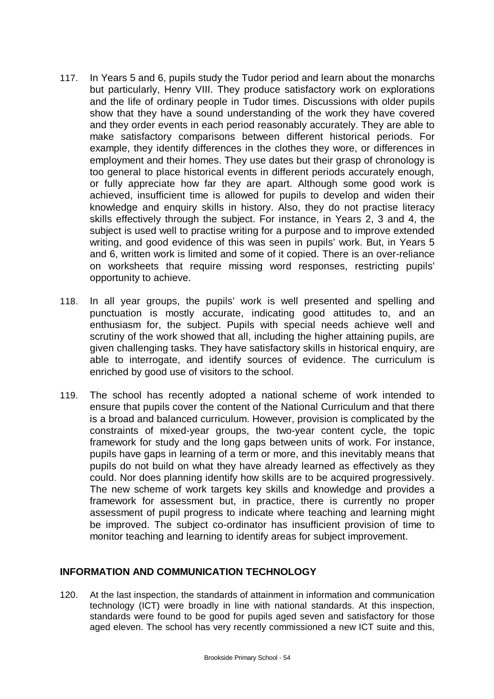- 117. In Years 5 and 6, pupils study the Tudor period and learn about the monarchs but particularly, Henry VIII. They produce satisfactory work on explorations and the life of ordinary people in Tudor times. Discussions with older pupils show that they have a sound understanding of the work they have covered and they order events in each period reasonably accurately. They are able to make satisfactory comparisons between different historical periods. For example, they identify differences in the clothes they wore, or differences in employment and their homes. They use dates but their grasp of chronology is too general to place historical events in different periods accurately enough, or fully appreciate how far they are apart. Although some good work is achieved, insufficient time is allowed for pupils to develop and widen their knowledge and enquiry skills in history. Also, they do not practise literacy skills effectively through the subject. For instance, in Years 2, 3 and 4, the subject is used well to practise writing for a purpose and to improve extended writing, and good evidence of this was seen in pupils' work. But, in Years 5 and 6, written work is limited and some of it copied. There is an over-reliance on worksheets that require missing word responses, restricting pupils' opportunity to achieve.
- 118. In all year groups, the pupils' work is well presented and spelling and punctuation is mostly accurate, indicating good attitudes to, and an enthusiasm for, the subject. Pupils with special needs achieve well and scrutiny of the work showed that all, including the higher attaining pupils, are given challenging tasks. They have satisfactory skills in historical enquiry, are able to interrogate, and identify sources of evidence. The curriculum is enriched by good use of visitors to the school.
- 119. The school has recently adopted a national scheme of work intended to ensure that pupils cover the content of the National Curriculum and that there is a broad and balanced curriculum. However, provision is complicated by the constraints of mixed-year groups, the two-year content cycle, the topic framework for study and the long gaps between units of work. For instance, pupils have gaps in learning of a term or more, and this inevitably means that pupils do not build on what they have already learned as effectively as they could. Nor does planning identify how skills are to be acquired progressively. The new scheme of work targets key skills and knowledge and provides a framework for assessment but, in practice, there is currently no proper assessment of pupil progress to indicate where teaching and learning might be improved. The subject co-ordinator has insufficient provision of time to monitor teaching and learning to identify areas for subject improvement.

### **INFORMATION AND COMMUNICATION TECHNOLOGY**

120. At the last inspection, the standards of attainment in information and communication technology (ICT) were broadly in line with national standards. At this inspection, standards were found to be good for pupils aged seven and satisfactory for those aged eleven. The school has very recently commissioned a new ICT suite and this,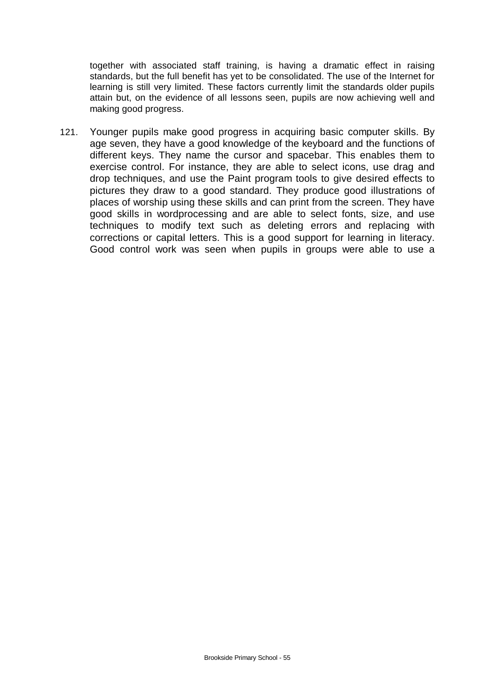together with associated staff training, is having a dramatic effect in raising standards, but the full benefit has yet to be consolidated. The use of the Internet for learning is still very limited. These factors currently limit the standards older pupils attain but, on the evidence of all lessons seen, pupils are now achieving well and making good progress.

121. Younger pupils make good progress in acquiring basic computer skills. By age seven, they have a good knowledge of the keyboard and the functions of different keys. They name the cursor and spacebar. This enables them to exercise control. For instance, they are able to select icons, use drag and drop techniques, and use the Paint program tools to give desired effects to pictures they draw to a good standard. They produce good illustrations of places of worship using these skills and can print from the screen. They have good skills in wordprocessing and are able to select fonts, size, and use techniques to modify text such as deleting errors and replacing with corrections or capital letters. This is a good support for learning in literacy. Good control work was seen when pupils in groups were able to use a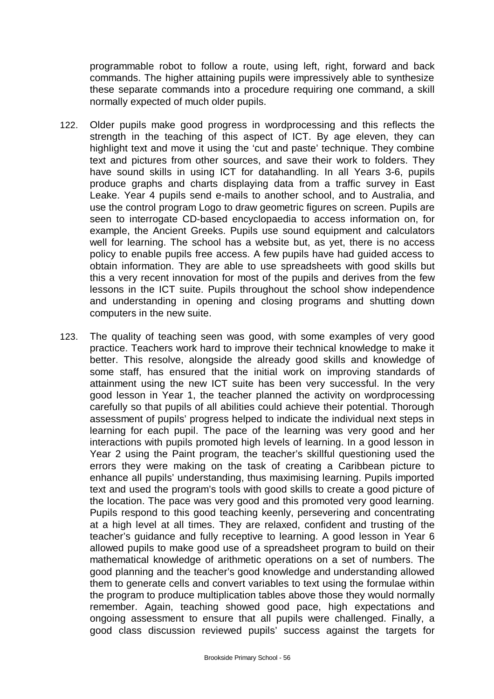programmable robot to follow a route, using left, right, forward and back commands. The higher attaining pupils were impressively able to synthesize these separate commands into a procedure requiring one command, a skill normally expected of much older pupils.

- 122. Older pupils make good progress in wordprocessing and this reflects the strength in the teaching of this aspect of ICT. By age eleven, they can highlight text and move it using the 'cut and paste' technique. They combine text and pictures from other sources, and save their work to folders. They have sound skills in using ICT for datahandling. In all Years 3-6, pupils produce graphs and charts displaying data from a traffic survey in East Leake. Year 4 pupils send e-mails to another school, and to Australia, and use the control program Logo to draw geometric figures on screen. Pupils are seen to interrogate CD-based encyclopaedia to access information on, for example, the Ancient Greeks. Pupils use sound equipment and calculators well for learning. The school has a website but, as yet, there is no access policy to enable pupils free access. A few pupils have had guided access to obtain information. They are able to use spreadsheets with good skills but this a very recent innovation for most of the pupils and derives from the few lessons in the ICT suite. Pupils throughout the school show independence and understanding in opening and closing programs and shutting down computers in the new suite.
- 123. The quality of teaching seen was good, with some examples of very good practice. Teachers work hard to improve their technical knowledge to make it better. This resolve, alongside the already good skills and knowledge of some staff, has ensured that the initial work on improving standards of attainment using the new ICT suite has been very successful. In the very good lesson in Year 1, the teacher planned the activity on wordprocessing carefully so that pupils of all abilities could achieve their potential. Thorough assessment of pupils' progress helped to indicate the individual next steps in learning for each pupil. The pace of the learning was very good and her interactions with pupils promoted high levels of learning. In a good lesson in Year 2 using the Paint program, the teacher's skillful questioning used the errors they were making on the task of creating a Caribbean picture to enhance all pupils' understanding, thus maximising learning. Pupils imported text and used the program's tools with good skills to create a good picture of the location. The pace was very good and this promoted very good learning. Pupils respond to this good teaching keenly, persevering and concentrating at a high level at all times. They are relaxed, confident and trusting of the teacher's guidance and fully receptive to learning. A good lesson in Year 6 allowed pupils to make good use of a spreadsheet program to build on their mathematical knowledge of arithmetic operations on a set of numbers. The good planning and the teacher's good knowledge and understanding allowed them to generate cells and convert variables to text using the formulae within the program to produce multiplication tables above those they would normally remember. Again, teaching showed good pace, high expectations and ongoing assessment to ensure that all pupils were challenged. Finally, a good class discussion reviewed pupils' success against the targets for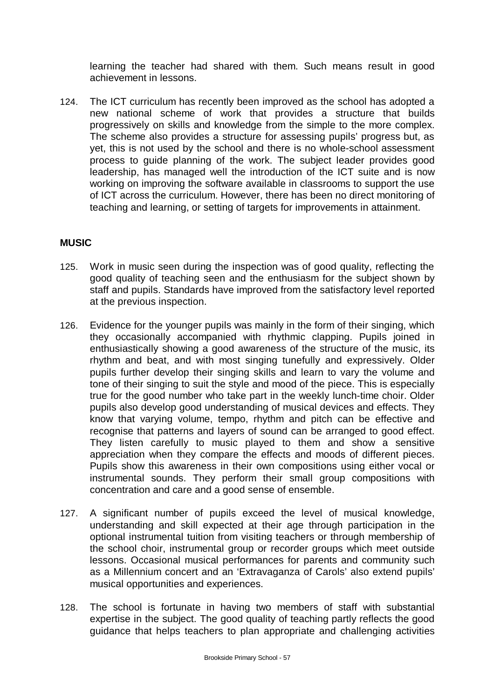learning the teacher had shared with them. Such means result in good achievement in lessons.

124. The ICT curriculum has recently been improved as the school has adopted a new national scheme of work that provides a structure that builds progressively on skills and knowledge from the simple to the more complex. The scheme also provides a structure for assessing pupils' progress but, as yet, this is not used by the school and there is no whole-school assessment process to guide planning of the work. The subject leader provides good leadership, has managed well the introduction of the ICT suite and is now working on improving the software available in classrooms to support the use of ICT across the curriculum. However, there has been no direct monitoring of teaching and learning, or setting of targets for improvements in attainment.

## **MUSIC**

- 125. Work in music seen during the inspection was of good quality, reflecting the good quality of teaching seen and the enthusiasm for the subject shown by staff and pupils. Standards have improved from the satisfactory level reported at the previous inspection.
- 126. Evidence for the younger pupils was mainly in the form of their singing, which they occasionally accompanied with rhythmic clapping. Pupils joined in enthusiastically showing a good awareness of the structure of the music, its rhythm and beat, and with most singing tunefully and expressively. Older pupils further develop their singing skills and learn to vary the volume and tone of their singing to suit the style and mood of the piece. This is especially true for the good number who take part in the weekly lunch-time choir. Older pupils also develop good understanding of musical devices and effects. They know that varying volume, tempo, rhythm and pitch can be effective and recognise that patterns and layers of sound can be arranged to good effect. They listen carefully to music played to them and show a sensitive appreciation when they compare the effects and moods of different pieces. Pupils show this awareness in their own compositions using either vocal or instrumental sounds. They perform their small group compositions with concentration and care and a good sense of ensemble.
- 127. A significant number of pupils exceed the level of musical knowledge, understanding and skill expected at their age through participation in the optional instrumental tuition from visiting teachers or through membership of the school choir, instrumental group or recorder groups which meet outside lessons. Occasional musical performances for parents and community such as a Millennium concert and an 'Extravaganza of Carols' also extend pupils' musical opportunities and experiences.
- 128. The school is fortunate in having two members of staff with substantial expertise in the subject. The good quality of teaching partly reflects the good guidance that helps teachers to plan appropriate and challenging activities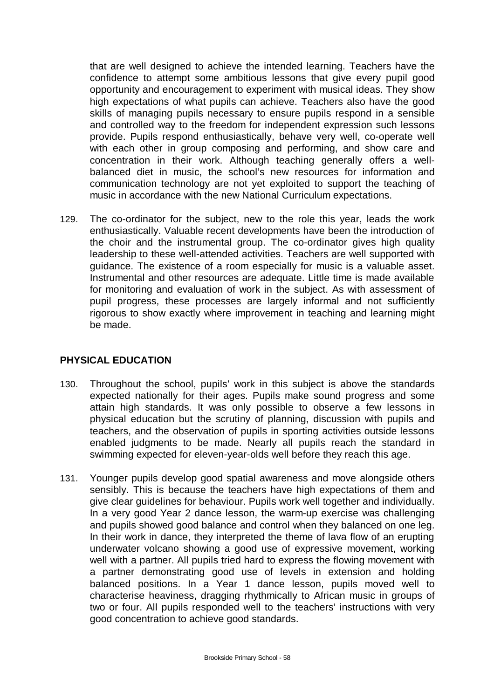that are well designed to achieve the intended learning. Teachers have the confidence to attempt some ambitious lessons that give every pupil good opportunity and encouragement to experiment with musical ideas. They show high expectations of what pupils can achieve. Teachers also have the good skills of managing pupils necessary to ensure pupils respond in a sensible and controlled way to the freedom for independent expression such lessons provide. Pupils respond enthusiastically, behave very well, co-operate well with each other in group composing and performing, and show care and concentration in their work. Although teaching generally offers a wellbalanced diet in music, the school's new resources for information and communication technology are not yet exploited to support the teaching of music in accordance with the new National Curriculum expectations.

129. The co-ordinator for the subject, new to the role this year, leads the work enthusiastically. Valuable recent developments have been the introduction of the choir and the instrumental group. The co-ordinator gives high quality leadership to these well-attended activities. Teachers are well supported with guidance. The existence of a room especially for music is a valuable asset. Instrumental and other resources are adequate. Little time is made available for monitoring and evaluation of work in the subject. As with assessment of pupil progress, these processes are largely informal and not sufficiently rigorous to show exactly where improvement in teaching and learning might be made.

### **PHYSICAL EDUCATION**

- 130. Throughout the school, pupils' work in this subject is above the standards expected nationally for their ages. Pupils make sound progress and some attain high standards. It was only possible to observe a few lessons in physical education but the scrutiny of planning, discussion with pupils and teachers, and the observation of pupils in sporting activities outside lessons enabled judgments to be made. Nearly all pupils reach the standard in swimming expected for eleven-year-olds well before they reach this age.
- 131. Younger pupils develop good spatial awareness and move alongside others sensibly. This is because the teachers have high expectations of them and give clear guidelines for behaviour. Pupils work well together and individually. In a very good Year 2 dance lesson, the warm-up exercise was challenging and pupils showed good balance and control when they balanced on one leg. In their work in dance, they interpreted the theme of lava flow of an erupting underwater volcano showing a good use of expressive movement, working well with a partner. All pupils tried hard to express the flowing movement with a partner demonstrating good use of levels in extension and holding balanced positions. In a Year 1 dance lesson, pupils moved well to characterise heaviness, dragging rhythmically to African music in groups of two or four. All pupils responded well to the teachers' instructions with very good concentration to achieve good standards.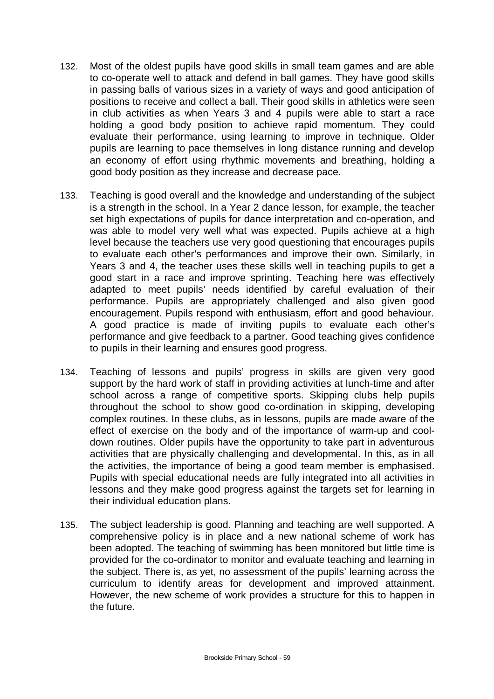- 132. Most of the oldest pupils have good skills in small team games and are able to co-operate well to attack and defend in ball games. They have good skills in passing balls of various sizes in a variety of ways and good anticipation of positions to receive and collect a ball. Their good skills in athletics were seen in club activities as when Years 3 and 4 pupils were able to start a race holding a good body position to achieve rapid momentum. They could evaluate their performance, using learning to improve in technique. Older pupils are learning to pace themselves in long distance running and develop an economy of effort using rhythmic movements and breathing, holding a good body position as they increase and decrease pace.
- 133. Teaching is good overall and the knowledge and understanding of the subject is a strength in the school. In a Year 2 dance lesson, for example, the teacher set high expectations of pupils for dance interpretation and co-operation, and was able to model very well what was expected. Pupils achieve at a high level because the teachers use very good questioning that encourages pupils to evaluate each other's performances and improve their own. Similarly, in Years 3 and 4, the teacher uses these skills well in teaching pupils to get a good start in a race and improve sprinting. Teaching here was effectively adapted to meet pupils' needs identified by careful evaluation of their performance. Pupils are appropriately challenged and also given good encouragement. Pupils respond with enthusiasm, effort and good behaviour. A good practice is made of inviting pupils to evaluate each other's performance and give feedback to a partner. Good teaching gives confidence to pupils in their learning and ensures good progress.
- 134. Teaching of lessons and pupils' progress in skills are given very good support by the hard work of staff in providing activities at lunch-time and after school across a range of competitive sports. Skipping clubs help pupils throughout the school to show good co-ordination in skipping, developing complex routines. In these clubs, as in lessons, pupils are made aware of the effect of exercise on the body and of the importance of warm-up and cooldown routines. Older pupils have the opportunity to take part in adventurous activities that are physically challenging and developmental. In this, as in all the activities, the importance of being a good team member is emphasised. Pupils with special educational needs are fully integrated into all activities in lessons and they make good progress against the targets set for learning in their individual education plans.
- 135. The subject leadership is good. Planning and teaching are well supported. A comprehensive policy is in place and a new national scheme of work has been adopted. The teaching of swimming has been monitored but little time is provided for the co-ordinator to monitor and evaluate teaching and learning in the subject. There is, as yet, no assessment of the pupils' learning across the curriculum to identify areas for development and improved attainment. However, the new scheme of work provides a structure for this to happen in the future.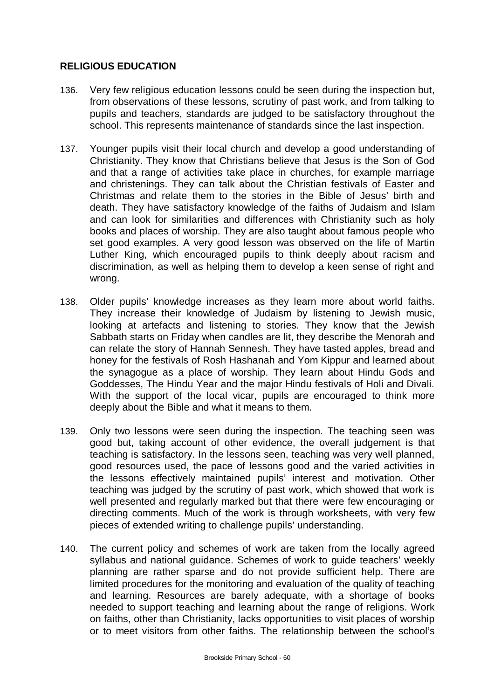# **RELIGIOUS EDUCATION**

- 136. Very few religious education lessons could be seen during the inspection but, from observations of these lessons, scrutiny of past work, and from talking to pupils and teachers, standards are judged to be satisfactory throughout the school. This represents maintenance of standards since the last inspection.
- 137. Younger pupils visit their local church and develop a good understanding of Christianity. They know that Christians believe that Jesus is the Son of God and that a range of activities take place in churches, for example marriage and christenings. They can talk about the Christian festivals of Easter and Christmas and relate them to the stories in the Bible of Jesus' birth and death. They have satisfactory knowledge of the faiths of Judaism and Islam and can look for similarities and differences with Christianity such as holy books and places of worship. They are also taught about famous people who set good examples. A very good lesson was observed on the life of Martin Luther King, which encouraged pupils to think deeply about racism and discrimination, as well as helping them to develop a keen sense of right and wrong.
- 138. Older pupils' knowledge increases as they learn more about world faiths. They increase their knowledge of Judaism by listening to Jewish music, looking at artefacts and listening to stories. They know that the Jewish Sabbath starts on Friday when candles are lit, they describe the Menorah and can relate the story of Hannah Sennesh. They have tasted apples, bread and honey for the festivals of Rosh Hashanah and Yom Kippur and learned about the synagogue as a place of worship. They learn about Hindu Gods and Goddesses, The Hindu Year and the major Hindu festivals of Holi and Divali. With the support of the local vicar, pupils are encouraged to think more deeply about the Bible and what it means to them.
- 139. Only two lessons were seen during the inspection. The teaching seen was good but, taking account of other evidence, the overall judgement is that teaching is satisfactory. In the lessons seen, teaching was very well planned, good resources used, the pace of lessons good and the varied activities in the lessons effectively maintained pupils' interest and motivation. Other teaching was judged by the scrutiny of past work, which showed that work is well presented and regularly marked but that there were few encouraging or directing comments. Much of the work is through worksheets, with very few pieces of extended writing to challenge pupils' understanding.
- 140. The current policy and schemes of work are taken from the locally agreed syllabus and national guidance. Schemes of work to guide teachers' weekly planning are rather sparse and do not provide sufficient help. There are limited procedures for the monitoring and evaluation of the quality of teaching and learning. Resources are barely adequate, with a shortage of books needed to support teaching and learning about the range of religions. Work on faiths, other than Christianity, lacks opportunities to visit places of worship or to meet visitors from other faiths. The relationship between the school's